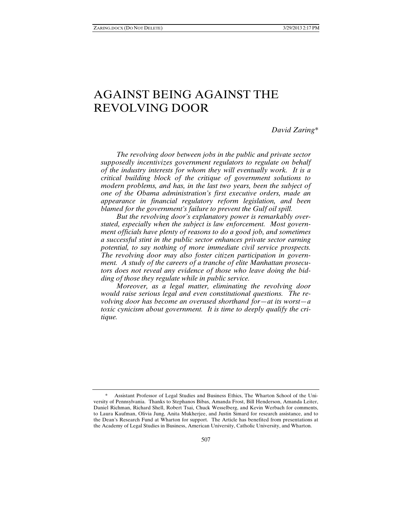# AGAINST BEING AGAINST THE REVOLVING DOOR

*David Zaring\** 

*The revolving door between jobs in the public and private sector supposedly incentivizes government regulators to regulate on behalf of the industry interests for whom they will eventually work. It is a critical building block of the critique of government solutions to modern problems, and has, in the last two years, been the subject of one of the Obama administration's first executive orders, made an appearance in financial regulatory reform legislation, and been blamed for the government's failure to prevent the Gulf oil spill.* 

*But the revolving door's explanatory power is remarkably overstated, especially when the subject is law enforcement. Most government officials have plenty of reasons to do a good job, and sometimes a successful stint in the public sector enhances private sector earning potential, to say nothing of more immediate civil service prospects. The revolving door may also foster citizen participation in government. A study of the careers of a tranche of elite Manhattan prosecutors does not reveal any evidence of those who leave doing the bidding of those they regulate while in public service.* 

*Moreover, as a legal matter, eliminating the revolving door would raise serious legal and even constitutional questions. The revolving door has become an overused shorthand for—at its worst—a toxic cynicism about government. It is time to deeply qualify the critique.* 

 <sup>\*</sup> Assistant Professor of Legal Studies and Business Ethics, The Wharton School of the University of Pennsylvania. Thanks to Stephanos Bibas, Amanda Frost, Bill Henderson, Amanda Leiter, Daniel Richman, Richard Shell, Robert Tsai, Chuck Wesselberg, and Kevin Werbach for comments, to Laura Kaufman, Olivia Jung, Anita Mukherjee, and Justin Simard for research assistance, and to the Dean's Research Fund at Wharton for support. The Article has benefited from presentations at the Academy of Legal Studies in Business, American University, Catholic University, and Wharton.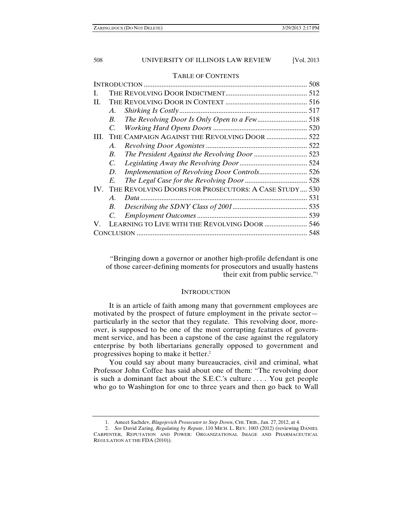#### TABLE OF CONTENTS

| L   |                 |                                                           |  |  |
|-----|-----------------|-----------------------------------------------------------|--|--|
| H.  |                 |                                                           |  |  |
|     | А.              |                                                           |  |  |
|     | B.              |                                                           |  |  |
|     | $\mathcal{C}$   |                                                           |  |  |
| HL. |                 | THE CAMPAIGN AGAINST THE REVOLVING DOOR  522              |  |  |
|     | А.              |                                                           |  |  |
|     | <i>B</i> .      |                                                           |  |  |
|     | C.              |                                                           |  |  |
|     | D.              |                                                           |  |  |
|     | E.              |                                                           |  |  |
|     |                 | IV. THE REVOLVING DOORS FOR PROSECUTORS: A CASE STUDY 530 |  |  |
|     | $\mathcal{A}$ . |                                                           |  |  |
|     | <i>B</i> .      |                                                           |  |  |
|     | C.              |                                                           |  |  |
| V.  |                 | LEARNING TO LIVE WITH THE REVOLVING DOOR  546             |  |  |
|     |                 |                                                           |  |  |
|     |                 |                                                           |  |  |

"Bringing down a governor or another high-profile defendant is one of those career-defining moments for prosecutors and usually hastens their exit from public service."1

#### **INTRODUCTION**

It is an article of faith among many that government employees are motivated by the prospect of future employment in the private sector particularly in the sector that they regulate. This revolving door, moreover, is supposed to be one of the most corrupting features of government service, and has been a capstone of the case against the regulatory enterprise by both libertarians generally opposed to government and progressives hoping to make it better.2

You could say about many bureaucracies, civil and criminal, what Professor John Coffee has said about one of them: "The revolving door is such a dominant fact about the S.E.C.'s culture . . . . You get people who go to Washington for one to three years and then go back to Wall

 <sup>1.</sup> Ameet Sachdev, *Blagojevich Prosecutor to Step Down*, CHI. TRIB., Jan. 27, 2012, at 4.

 <sup>2.</sup> *See* David Zaring, *Regulating by Repute*, 110 MICH. L. REV. 1003 (2012) (reviewing DANIEL CARPENTER, REPUTATION AND POWER: ORGANIZATIONAL IMAGE AND PHARMACEUTICAL REGULATION AT THE FDA (2010)).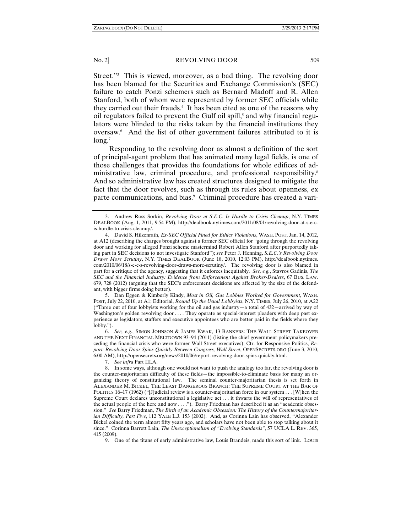Street."3 This is viewed, moreover, as a bad thing. The revolving door has been blamed for the Securities and Exchange Commission's (SEC) failure to catch Ponzi schemers such as Bernard Madoff and R. Allen Stanford, both of whom were represented by former SEC officials while they carried out their frauds.4 It has been cited as one of the reasons why oil regulators failed to prevent the Gulf oil spill,<sup>5</sup> and why financial regulators were blinded to the risks taken by the financial institutions they oversaw.6 And the list of other government failures attributed to it is long.<sup>7</sup>

Responding to the revolving door as almost a definition of the sort of principal-agent problem that has animated many legal fields, is one of those challenges that provides the foundations for whole edifices of administrative law, criminal procedure, and professional responsibility.8 And so administrative law has created structures designed to mitigate the fact that the door revolves, such as through its rules about openness, ex parte communications, and bias.<sup>9</sup> Criminal procedure has created a vari-

 5. Dan Eggen & Kimberly Kindy, *Most in Oil, Gas Lobbies Worked for Government*, WASH. POST, July 22, 2010, at A1; Editorial, *Round Up the Usual Lobbyists*, N.Y. TIMES, July 26, 2010, at A22 ("Three out of four lobbyists working for the oil and gas industry—a total of 432—arrived by way of Washington's golden revolving door . . . . They operate as special-interest pleaders with deep past experience as legislators, staffers and executive appointees who are better paid in the fields where they lobby.").

 6. *See, e.g.*, SIMON JOHNSON & JAMES KWAK, 13 BANKERS: THE WALL STREET TAKEOVER AND THE NEXT FINANCIAL MELTDOWN 93–94 (2011) (listing the chief government policymakers preceding the financial crisis who were former Wall Street executives); Ctr. for Responsive Politics, *Report: Revolving Door Spins Quickly Between Congress, Wall Street*, OPENSECRETS.ORG (June 3, 2010, 6:00 AM), http://opensecrets.org/news/2010/06/report-revolving-door-spins-quickly.html.

7. *See infra* Part III.A.

9. One of the titans of early administrative law, Louis Brandeis, made this sort of link. LOUIS

 <sup>3.</sup> Andrew Ross Sorkin, *Revolving Door at S*.*E*.*C*. *Is Hurdle to Crisis Cleanup*, N.Y. TIMES DEALBOOK (Aug. 1, 2011, 9:54 PM), http://dealbook.nytimes.com/2011/08/01/revolving-door-at-s-e-cis-hurdle-to-crisis-cleanup/.

 <sup>4.</sup> David S. Hilzenrath, *Ex-SEC Official Fined for Ethics Violations*, WASH. POST, Jan. 14, 2012, at A12 (describing the charges brought against a former SEC official for "going through the revolving door and working for alleged Ponzi scheme mastermind Robert Allen Stanford after purportedly taking part in SEC decisions to not investigate Stanford"); *see* Peter J. Henning, *S.E.C.'s Revolving Door Draws More Scrutiny*, N.Y. TIMES DEALBOOK (June 18, 2010, 12:03 PM), http://dealbook.nytimes. com/2010/06/18/s-e-c-s-revolving-door-draws-more-scrutiny/. The revolving door is also blamed in part for a critique of the agency, suggesting that it enforces inequitably. *See, e.g.*, Stavros Gadinis, *The SEC and the Financial Industry: Evidence from Enforcement Against Broker-Dealers*, 67 BUS. LAW. 679, 728 (2012) (arguing that the SEC's enforcement decisions are affected by the size of the defendant, with bigger firms doing better).

 <sup>8.</sup> In some ways, although one would not want to push the analogy too far, the revolving door is the counter-majoritarian difficulty of these fields—the impossible-to-eliminate basis for many an organizing theory of constitutional law. The seminal counter-majoritarian thesis is set forth in ALEXANDER M. BICKEL, THE LEAST DANGEROUS BRANCH: THE SUPREME COURT AT THE BAR OF POLITICS 16–17 (1962) ("[J]udicial review is a counter-majoritarian force in our system . . . [W]hen the Supreme Court declares unconstitutional a legislative act . . . it thwarts the will of representatives of the actual people of the here and now . . . ."). Barry Friedman has described it as an "academic obsession." *See* Barry Friedman, *The Birth of an Academic Obsession: The History of the Countermajoritarian Difficulty, Part Five*, 112 YALE L.J. 153 (2002). And, as Corinna Lain has observed, "Alexander Bickel coined the term almost fifty years ago, and scholars have not been able to stop talking about it since." Corinna Barrett Lain, *The Unexceptionalism of "Evolving Standards"*, 57 UCLA L. REV. 365, 415 (2009).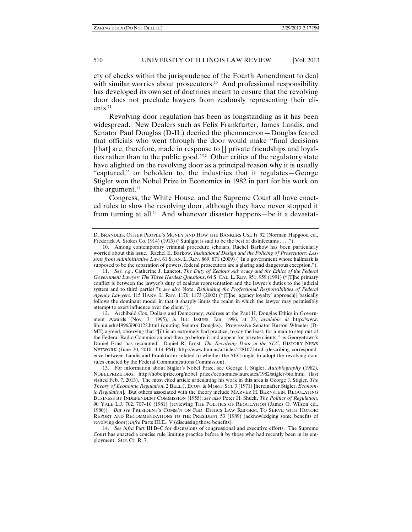ety of checks within the jurisprudence of the Fourth Amendment to deal with similar worries about prosecutors.<sup>10</sup> And professional responsibility has developed its own set of doctrines meant to ensure that the revolving door does not preclude lawyers from zealously representing their clients.<sup>11</sup>

Revolving door regulation has been as longstanding as it has been widespread. New Dealers such as Felix Frankfurter, James Landis, and Senator Paul Douglas (D-IL) decried the phenomenon—Douglas feared that officials who went through the door would make "final decisions [that] are, therefore, made in response to [] private friendships and loyalties rather than to the public good."12 Other critics of the regulatory state have alighted on the revolving door as a principal reason why it is usually "captured," or beholden to, the industries that it regulates—George Stigler won the Nobel Prize in Economics in 1982 in part for his work on the argument.<sup>13</sup>

Congress, the White House, and the Supreme Court all have enacted rules to slow the revolving door, although they have never stopped it from turning at all.<sup>14</sup> And whenever disaster happens—be it a devastat-

 12. Archibald Cox, Dollars and Democracy, Address at the Paul H. Douglas Ethics in Government Awards (Nov. 3, 1995), *in* ILL. ISSUES, Jan. 1996, at 23, *available at* http://www. lib.niu.edu/1996/ii960122.html (quoting Senator Douglas). Progressive Senator Burton Wheeler (D-MT) agreed, observing that "[i]t is an extremely bad practice, to say the least, for a man to step out of the Federal Radio Commission and then go before it and appear for private clients," as Georgetown's Daniel Ernst has recounted. Daniel R. Ernst, *The Revolving Door at the SEC*, HISTORY NEWS NETWORK (June 20, 2010, 4:14 PM), http://www.hnn.us/articles/128107.html (describing correspondence between Landis and Frankfurter related to whether the SEC ought to adopt the revolving door rules enacted by the Federal Communications Commission).

D. BRANDEIS, OTHER PEOPLE'S MONEY AND HOW THE BANKERS USE IT 92 (Norman Hapgood ed., Frederick A. Stokes Co. 1914) (1913) ("Sunlight is said to be the best of disinfectants . . . .").

 <sup>10.</sup> Among contemporary criminal procedure scholars, Rachel Barkow has been particularly worried about this issue. Rachel E. Barkow, *Institutional Design and the Policing of Prosecutors: Lessons from Administrative Law*, 61 STAN. L. REV. 869, 871 (2009) ("In a government whose hallmark is supposed to be the separation of powers, federal prosecutors are a glaring and dangerous exception.").

 <sup>11.</sup> *See, e.g.*, Catherine J. Lanctot, *The Duty of Zealous Advocacy and the Ethics of the Federal Government Lawyer: The Three Hardest Questions*, 64 S. CAL. L. REV. 951, 959 (1991) ("[T]he primary conflict is between the lawyer's duty of zealous representation and the lawyer's duties to the judicial system and to third parties."); *see also* Note, *Rethinking the Professional Responsibilities of Federal Agency Lawyers*, 115 HARV. L. REV. 1170, 1173 (2002) ("[T]he 'agency loyalty' approach[] basically follows the dominant model in that it sharply limits the realm in which the lawyer may permissibly attempt to exert influence over the client.").

 <sup>13.</sup> For information about Stigler's Nobel Prize, see George J. Stigler, *Autobiography* (1982), NOBELPRIZE.ORG, http://nobelprize.org/nobel\_prizes/economics/laureates/1982/stigler-bio.html (last visited Feb. 7, 2013). The most cited article articulating his work in this area is George J. Stigler, *The Theory of Economic Regulation*, 2 BELL J. ECON. & MGMT. SCI. 3 (1971) [hereinafter Stigler, *Economic Regulation*]. But others associated with the theory include MARVER H. BERNSTEIN, REGULATING BUSINESS BY INDEPENDENT COMMISSION (1955); *see also* Peter H. Shuck, *The Politics of Regulation*, 90 YALE L.J. 702, 707–10 (1981) (reviewing THE POLITICS OF REGULATION (James Q. Wilson ed., 1980)). *But see* PRESIDENT'S COMM'N ON FED. ETHICS LAW REFORM, TO SERVE WITH HONOR: REPORT AND RECOMMENDATIONS TO THE PRESIDENT 53 (1989) (acknowledging some benefits of revolving door); *infra* Parts III.E., V (discussing those benefits).

 <sup>14.</sup> *See infra* Part III.B–C for discussions of congressional and executive efforts. The Supreme Court has enacted a concise rule limiting practice before it by those who had recently been in its employment. SUP. CT. R. 7.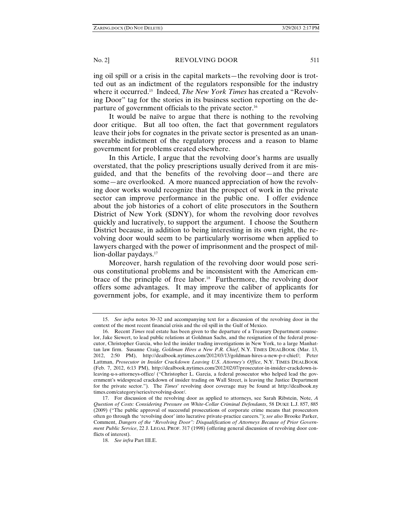ing oil spill or a crisis in the capital markets—the revolving door is trotted out as an indictment of the regulators responsible for the industry where it occurred.15 Indeed, *The New York Times* has created a "Revolving Door" tag for the stories in its business section reporting on the departure of government officials to the private sector.16

It would be naïve to argue that there is nothing to the revolving door critique. But all too often, the fact that government regulators leave their jobs for cognates in the private sector is presented as an unanswerable indictment of the regulatory process and a reason to blame government for problems created elsewhere.

In this Article, I argue that the revolving door's harms are usually overstated, that the policy prescriptions usually derived from it are misguided, and that the benefits of the revolving door—and there are some—are overlooked. A more nuanced appreciation of how the revolving door works would recognize that the prospect of work in the private sector can improve performance in the public one. I offer evidence about the job histories of a cohort of elite prosecutors in the Southern District of New York (SDNY), for whom the revolving door revolves quickly and lucratively, to support the argument. I choose the Southern District because, in addition to being interesting in its own right, the revolving door would seem to be particularly worrisome when applied to lawyers charged with the power of imprisonment and the prospect of million-dollar paydays.<sup>17</sup>

Moreover, harsh regulation of the revolving door would pose serious constitutional problems and be inconsistent with the American embrace of the principle of free labor.<sup>18</sup> Furthermore, the revolving door offers some advantages. It may improve the caliber of applicants for government jobs, for example, and it may incentivize them to perform

 <sup>15.</sup> *See infra* notes 30–32 and accompanying text for a discussion of the revolving door in the context of the most recent financial crisis and the oil spill in the Gulf of Mexico.

 <sup>16.</sup> Recent *Times* real estate has been given to the departure of a Treasury Department counselor, Jake Siewert, to lead public relations at Goldman Sachs, and the resignation of the federal prosecutor, Christopher Garcia, who led the insider trading investigations in New York, to a large Manhattan law firm. Susanne Craig, *Goldman Hires a New P.R. Chief*, N.Y. TIMES DEALBOOK (Mar. 13, 2012, 2:50 PM), http://dealbook.nytimes.com/2012/03/13/goldman-hires-a-new-p-r-chief/; Peter Lattman, *Prosecutor in Insider Crackdown Leaving U*.*S*. *Attorney's Office*, N.Y. TIMES DEALBOOK (Feb. 7, 2012, 6:13 PM), http://dealbook.nytimes.com/2012/02/07/prosecutor-in-insider-crackdown-isleaving-u-s-attorneys-office/ ("Christopher L. Garcia, a federal prosecutor who helped lead the government's widespread crackdown of insider trading on Wall Street, is leaving the Justice Department for the private sector."). The *Times*' revolving door coverage may be found at http://dealbook.ny times.com/category/series/revolving-door/.

 <sup>17.</sup> For discussion of the revolving door as applied to attorneys, see Sarah Ribstein, Note, *A Question of Costs: Considering Pressure on White-Collar Criminal Defendants*, 58 DUKE L.J. 857, 885 (2009) ("The public approval of successful prosecutions of corporate crime means that prosecutors often go through the 'revolving door' into lucrative private-practice careers."); *see also* Brooke Parker, Comment, *Dangers of the "Revolving Door": Disqualification of Attorneys Because of Prior Government Public Service*, 22 J. LEGAL PROF. 317 (1998) (offering general discussion of revolving door conflicts of interest).

 <sup>18.</sup> *See infra* Part III.E.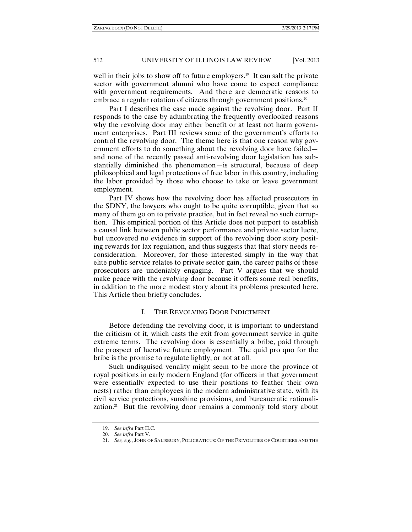well in their jobs to show off to future employers.<sup>19</sup> It can salt the private sector with government alumni who have come to expect compliance with government requirements. And there are democratic reasons to embrace a regular rotation of citizens through government positions.<sup>20</sup>

Part I describes the case made against the revolving door. Part II responds to the case by adumbrating the frequently overlooked reasons why the revolving door may either benefit or at least not harm government enterprises. Part III reviews some of the government's efforts to control the revolving door. The theme here is that one reason why government efforts to do something about the revolving door have failed and none of the recently passed anti-revolving door legislation has substantially diminished the phenomenon—is structural, because of deep philosophical and legal protections of free labor in this country, including the labor provided by those who choose to take or leave government employment.

Part IV shows how the revolving door has affected prosecutors in the SDNY, the lawyers who ought to be quite corruptible, given that so many of them go on to private practice, but in fact reveal no such corruption. This empirical portion of this Article does not purport to establish a causal link between public sector performance and private sector lucre, but uncovered no evidence in support of the revolving door story positing rewards for lax regulation, and thus suggests that that story needs reconsideration. Moreover, for those interested simply in the way that elite public service relates to private sector gain, the career paths of these prosecutors are undeniably engaging. Part V argues that we should make peace with the revolving door because it offers some real benefits, in addition to the more modest story about its problems presented here. This Article then briefly concludes.

#### I. THE REVOLVING DOOR INDICTMENT

Before defending the revolving door, it is important to understand the criticism of it, which casts the exit from government service in quite extreme terms. The revolving door is essentially a bribe, paid through the prospect of lucrative future employment. The quid pro quo for the bribe is the promise to regulate lightly, or not at all.

Such undisguised venality might seem to be more the province of royal positions in early modern England (for officers in that government were essentially expected to use their positions to feather their own nests) rather than employees in the modern administrative state, with its civil service protections, sunshine provisions, and bureaucratic rationalization.<sup>21</sup> But the revolving door remains a commonly told story about

 <sup>19.</sup> *See infra* Part II.C.

 <sup>20.</sup> *See infra* Part V.

 <sup>21.</sup> *See, e.g.*, JOHN OF SALISBURY, POLICRATICUS: OF THE FRIVOLITIES OF COURTIERS AND THE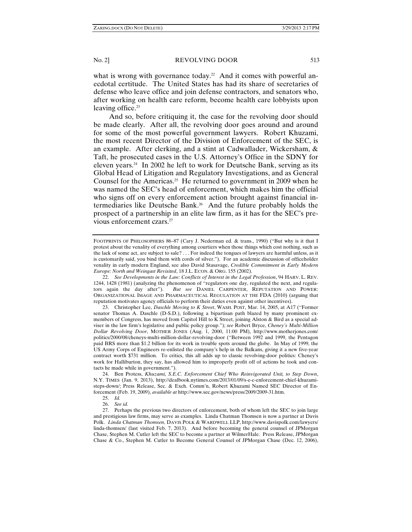what is wrong with governance today.<sup>22</sup> And it comes with powerful anecdotal certitude. The United States has had its share of secretaries of defense who leave office and join defense contractors, and senators who, after working on health care reform, become health care lobbyists upon leaving office.<sup>23</sup>

And so, before critiquing it, the case for the revolving door should be made clearly. After all, the revolving door goes around and around for some of the most powerful government lawyers. Robert Khuzami, the most recent Director of the Division of Enforcement of the SEC, is an example. After clerking, and a stint at Cadwallader, Wickersham, & Taft, he prosecuted cases in the U.S. Attorney's Office in the SDNY for eleven years.<sup>24</sup> In 2002 he left to work for Deutsche Bank, serving as its Global Head of Litigation and Regulatory Investigations, and as General Counsel for the Americas.<sup>25</sup> He returned to government in 2009 when he was named the SEC's head of enforcement, which makes him the official who signs off on every enforcement action brought against financial intermediaries like Deutsche Bank.26 And the future probably holds the prospect of a partnership in an elite law firm, as it has for the SEC's previous enforcement czars.<sup>27</sup>

FOOTPRINTS OF PHILOSOPHERS 86–87 (Cary J. Nederman ed. & trans., 1990) ("But why is it that I protest about the venality of everything among courtiers when those things which cost nothing, such as the lack of some act, are subject to sale? . . . For indeed the tongues of lawyers are harmful unless, as it is customarily said, you bind them with cords of silver."). For an academic discussion of officeholder venality in early modern England, see also David Stasavage, *Credible Commitment in Early Modern Europe: North and Weingast Revisited*, 18 J.L. ECON. & ORG. 155 (2002).

 <sup>22.</sup> *See Developments in the Law: Conflicts of Interest in the Legal Profession*, 94 HARV. L. REV. 1244, 1428 (1981) (analyzing the phenomenon of "regulators one day, regulated the next, and regulators again the day after"). *But see* DANIEL CARPENTER, REPUTATION AND POWER: ORGANIZATIONAL IMAGE AND PHARMACEUTICAL REGULATION AT THE FDA (2010) (arguing that reputation motivates agency officials to perform their duties even against other incentives).

 <sup>23.</sup> Christopher Lee, *Daschle Moving to K Street*, WASH. POST, Mar. 14, 2005, at A17 ("Former senator Thomas A. Daschle (D-S.D.), following a bipartisan path blazed by many prominent exmembers of Congress, has moved from Capitol Hill to K Street, joining Alston & Bird as a special adviser in the law firm's legislative and public policy group."); *see* Robert Bryce, *Cheney's Multi-Million Dollar Revolving Door*, MOTHER JONES (Aug. 1, 2000, 11:00 PM), http://www.motherjones.com/ politics/2000/08/cheneys-multi-million-dollar-revolving-door ("Between 1992 and 1999, the Pentagon paid BRS more than \$1.2 billion for its work in trouble spots around the globe. In May of 1999, the US Army Corps of Engineers re-enlisted the company's help in the Balkans, giving it a new five-year contract worth \$731 million. To critics, this all adds up to classic revolving-door politics: Cheney's work for Halliburton, they say, has allowed him to improperly profit off of actions he took and contacts he made while in government.")

 <sup>24.</sup> Ben Protess, *Khuzami, S.E.C. Enforcement Chief Who Reinvigorated Unit, to Step Down*, N.Y. TIMES (Jan. 9, 2013), http://dealbook.nytimes.com/2013/01/09/s-e-c-enforcement-chief-khuzamisteps-down/; Press Release, Sec. & Exch. Comm'n, Robert Khuzami Named SEC Director of Enforcement (Feb. 19, 2009), *available at* http://www.sec.gov/news/press/2009/2009-31.htm.

 <sup>25.</sup> *Id.* 

 <sup>26.</sup> *See id.* 

 <sup>27.</sup> Perhaps the previous two directors of enforcement, both of whom left the SEC to join large and prestigious law firms, may serve as examples. Linda Chatman Thomsen is now a partner at Davis Polk. *Linda Chatman Thomsen*, DAVIS POLK & WARDWELL LLP, http://www.davispolk.com/lawyers/ linda-thomsen/ (last visited Feb. 7, 2013). And before becoming the general counsel of JPMorgan Chase, Stephen M. Cutler left the SEC to become a partner at WilmerHale. Press Release, JPMorgan Chase & Co., Stephen M. Cutler to Become General Counsel of JPMorgan Chase (Dec. 12, 2006),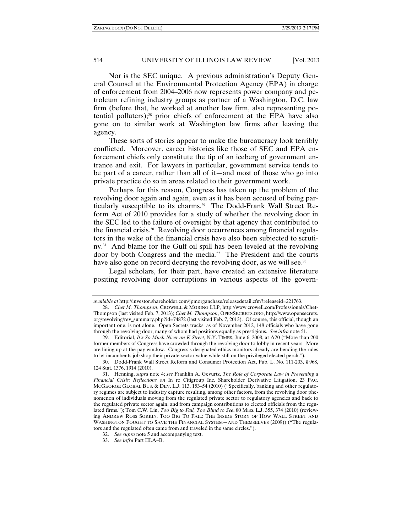Nor is the SEC unique. A previous administration's Deputy General Counsel at the Environmental Protection Agency (EPA) in charge of enforcement from 2004–2006 now represents power company and petroleum refining industry groups as partner of a Washington, D.C. law firm (before that, he worked at another law firm, also representing potential polluters);28 prior chiefs of enforcement at the EPA have also gone on to similar work at Washington law firms after leaving the agency.

These sorts of stories appear to make the bureaucracy look terribly conflicted. Moreover, career histories like those of SEC and EPA enforcement chiefs only constitute the tip of an iceberg of government entrance and exit. For lawyers in particular, government service tends to be part of a career, rather than all of it—and most of those who go into private practice do so in areas related to their government work.

Perhaps for this reason, Congress has taken up the problem of the revolving door again and again, even as it has been accused of being particularly susceptible to its charms.<sup>29</sup> The Dodd-Frank Wall Street Reform Act of 2010 provides for a study of whether the revolving door in the SEC led to the failure of oversight by that agency that contributed to the financial crisis. $30$  Revolving door occurrences among financial regulators in the wake of the financial crisis have also been subjected to scrutiny.<sup>31</sup> And blame for the Gulf oil spill has been leveled at the revolving door by both Congress and the media*.* 32 The President and the courts have also gone on record decrying the revolving door, as we will see.<sup>33</sup>

Legal scholars, for their part, have created an extensive literature positing revolving door corruptions in various aspects of the govern-

*available at* http://investor.shareholder.com/jpmorganchase/releasedetail.cfm?releaseid=221763.

 <sup>28.</sup> *Chet M. Thompson*, CROWELL & MORING LLP, http://www.crowell.com/Professionals/Chet-Thompson (last visited Feb. 7, 2013); *Chet M. Thompson*, OPENSECRETS.ORG, http://www.opensecrets. org/revolving/rev\_summary.php?id=74872 (last visited Feb. 7, 2013). Of course, this official, though an important one, is not alone. Open Secrets tracks, as of November 2012, 148 officials who have gone through the revolving door, many of whom had positions equally as prestigious. *See infra* note 51.

 <sup>29.</sup> Editorial, *It's So Much Nicer on K Street*, N.Y. TIMES, June 6, 2008, at A20 ("More than 200 former members of Congress have crowded through the revolving door to lobby in recent years. More are lining up at the pay window. Congress's designated ethics monitors already are bending the rules to let incumbents job shop their private-sector value while still on the privileged elected perch.").

 <sup>30.</sup> Dodd-Frank Wall Street Reform and Consumer Protection Act, Pub. L. No. 111-203, § 968, 124 Stat. 1376, 1914 (2010).

 <sup>31.</sup> Henning, *supra* note 4; *see* Franklin A. Gevurtz, *The Role of Corporate Law in Preventing a Financial Crisis: Reflections on* In re Citigroup Inc. Shareholder Derivative Litigation, 23 PAC. MCGEORGE GLOBAL BUS. & DEV. L.J. 113, 153–54 (2010) ("Specifically, banking and other regulatory regimes are subject to industry capture resulting, among other factors, from the revolving door phenomenon of individuals moving from the regulated private sector to regulatory agencies and back to the regulated private sector again, and from campaign contributions to elected officials from the regulated firms."); Tom C.W. Lin, *Too Big to Fail, Too Blind to See*, 80 MISS. L.J. 355, 374 (2010) (reviewing ANDREW ROSS SORKIN, TOO BIG TO FAIL: THE INSIDE STORY OF HOW WALL STREET AND WASHINGTON FOUGHT TO SAVE THE FINANCIAL SYSTEM—AND THEMSELVES (2009)) ("The regulators and the regulated often came from and traveled in the same circles.").

 <sup>32.</sup> *See supra* note 5 and accompanying text.

 <sup>33.</sup> *See infra* Part III.A–B.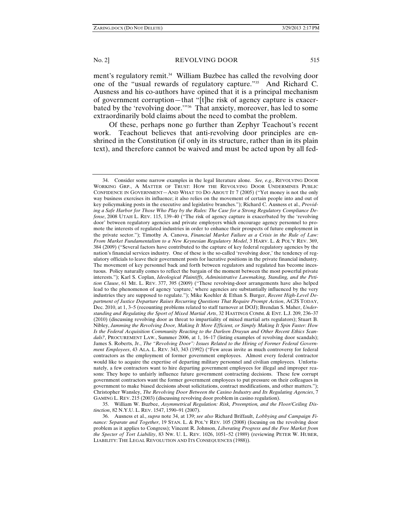ment's regulatory remit.<sup>34</sup> William Buzbee has called the revolving door one of the "usual rewards of regulatory capture."35 And Richard C. Ausness and his co-authors have opined that it is a principal mechanism of government corruption—that "[t]he risk of agency capture is exacerbated by the 'revolving door.'"36 That anxiety, moreover, has led to some extraordinarily bold claims about the need to combat the problem.

Of these, perhaps none go further than Zephyr Teachout's recent work. Teachout believes that anti-revolving door principles are enshrined in the Constitution (if only in its structure, rather than in its plain text), and therefore cannot be waived and must be acted upon by all fed-

 35. William W. Buzbee, *Asymmetrical Regulation: Risk, Preemption, and the Floor/Ceiling Distinction*, 82 N.Y.U. L. REV. 1547, 1590–91 (2007).

 <sup>34.</sup> Consider some narrow examples in the legal literature alone. *See, e.g.*, REVOLVING DOOR WORKING GRP., A MATTER OF TRUST: HOW THE REVOLVING DOOR UNDERMINES PUBLIC CONFIDENCE IN GOVERNMENT—AND WHAT TO DO ABOUT IT 7 (2005) ("Yet money is not the only way business exercises its influence; it also relies on the movement of certain people into and out of key policymaking posts in the executive and legislative branches."); Richard C. Ausness et al., *Providing a Safe Harbor for Those Who Play by the Rules: The Case for a Strong Regulatory Compliance Defense*, 2008 UTAH L. REV. 115, 139–40 ("The risk of agency capture is exacerbated by the 'revolving door' between regulatory agencies and private employers which encourage agency personnel to promote the interests of regulated industries in order to enhance their prospects of future employment in the private sector."); Timothy A. Canova, *Financial Market Failure as a Crisis in the Rule of Law: From Market Fundamentalism to a New Keynesian Regulatory Model*, 3 HARV. L. & POL'Y REV. 369, 384 (2009) ("Several factors have contributed to the capture of key federal regulatory agencies by the nation's financial services industry. One of these is the so-called 'revolving door,' the tendency of regulatory officials to leave their government posts for lucrative positions in the private financial industry. The movement of key personnel back and forth between regulators and regulated has become incestuous. Policy naturally comes to reflect the bargain of the moment between the most powerful private interests."); Karl S. Coplan, *Ideological Plaintiffs, Administrative Lawmaking, Standing, and the Petition Clause*, 61 ME. L. REV. 377, 395 (2009) ("These revolving-door arrangements have also helped lead to the phenomenon of agency 'capture,' where agencies are substantially influenced by the very industries they are supposed to regulate."); Mike Koehler & Ethan S. Burger, *Recent High-Level Department of Justice Departure Raises Recurring Questions That Require Prompt Action*, ACJS TODAY, Dec. 2010, at 1, 3–5 (recounting problems related to staff turnover at DOJ); Brendan S. Maher, *Understanding and Regulating the Sport of Mixed Martial Arts*, 32 HASTINGS COMM. & ENT. L.J. 209, 236–37 (2010) (discussing revolving door as threat to impartiality of mixed martial arts regulators); Stuart B. Nibley, *Jamming the Revolving Door, Making It More Efficient, or Simply Making It Spin Faster: How Is the Federal Acquisition Community Reacting to the Darleen Druyun and Other Recent Ethics Scan*dals?, PROCUREMENT LAW., Summer 2006, at 1, 16–17 (listing examples of revolving door scandals); James S. Roberts, Jr., *The "Revolving Door": Issues Related to the Hiring of Former Federal Government Employees*, 43 ALA. L. REV. 343, 343 (1992) ("Few areas invite as much controversy for federal contractors as the employment of former government employees. Almost every federal contractor would like to acquire the expertise of departing military personnel and civilian employees. Unfortunately, a few contractors want to hire departing government employees for illegal and improper reasons: They hope to unfairly influence future government contracting decisions. These few corrupt government contractors want the former government employees to put pressure on their colleagues in government to make biased decisions about solicitations, contract modifications, and other matters."); Christopher Wansley, *The Revolving Door Between the Casino Industry and Its Regulating Agencies*, 7 GAMING L. REV. 215 (2003) (discussing revolving door problem in casino regulation).

 <sup>36.</sup> Ausness et al., *supra* note 34, at 139; *see also* Richard Briffault, *Lobbying and Campaign Finance: Separate and Together*, 19 STAN. L. & POL'Y REV. 105 (2008) (focusing on the revolving door problem as it applies to Congress); Vincent R. Johnson, *Liberating Progress and the Free Market from the Specter of Tort Liability*, 83 NW. U. L. REV. 1026, 1051–52 (1989) (reviewing PETER W. HUBER, LIABILITY: THE LEGAL REVOLUTION AND ITS CONSEQUENCES (1988)).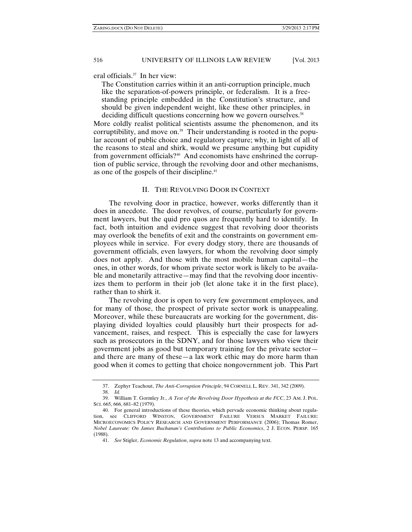eral officials.37 In her view:

The Constitution carries within it an anti-corruption principle, much like the separation-of-powers principle, or federalism. It is a freestanding principle embedded in the Constitution's structure, and should be given independent weight, like these other principles, in deciding difficult questions concerning how we govern ourselves.<sup>38</sup>

More coldly realist political scientists assume the phenomenon, and its corruptibility, and move on.<sup>39</sup> Their understanding is rooted in the popular account of public choice and regulatory capture; why, in light of all of the reasons to steal and shirk, would we presume anything but cupidity from government officials?<sup>40</sup> And economists have enshrined the corruption of public service, through the revolving door and other mechanisms, as one of the gospels of their discipline.<sup>41</sup>

#### II. THE REVOLVING DOOR IN CONTEXT

The revolving door in practice, however, works differently than it does in anecdote. The door revolves, of course, particularly for government lawyers, but the quid pro quos are frequently hard to identify. In fact, both intuition and evidence suggest that revolving door theorists may overlook the benefits of exit and the constraints on government employees while in service. For every dodgy story, there are thousands of government officials, even lawyers, for whom the revolving door simply does not apply. And those with the most mobile human capital—the ones, in other words, for whom private sector work is likely to be available and monetarily attractive—may find that the revolving door incentivizes them to perform in their job (let alone take it in the first place), rather than to shirk it.

The revolving door is open to very few government employees, and for many of those, the prospect of private sector work is unappealing. Moreover, while these bureaucrats are working for the government, displaying divided loyalties could plausibly hurt their prospects for advancement, raises, and respect. This is especially the case for lawyers such as prosecutors in the SDNY, and for those lawyers who view their government jobs as good but temporary training for the private sector and there are many of these—a lax work ethic may do more harm than good when it comes to getting that choice nongovernment job. This Part

 <sup>37.</sup> Zephyr Teachout, *The Anti-Corruption Principle*, 94 CORNELL L. REV. 341, 342 (2009).

 <sup>38.</sup> *Id.*

 <sup>39.</sup> William T. Gormley Jr., *A Test of the Revolving Door Hypothesis at the FCC*, 23 AM. J. POL. SCI. 665, 666, 681–82 (1979).

 <sup>40.</sup> For general introductions of these theories, which pervade economic thinking about regulation, see CLIFFORD WINSTON, GOVERNMENT FAILURE VERSUS MARKET FAILURE: MICROECONOMICS POLICY RESEARCH AND GOVERNMENT PERFORMANCE (2006); Thomas Romer, *Nobel Laureate: On James Buchanan's Contributions to Public Economics*, 2 J. ECON. PERSP. 165 (1988).

 <sup>41.</sup> *See* Stigler, *Economic Regulation*, *supra* note 13 and accompanying text.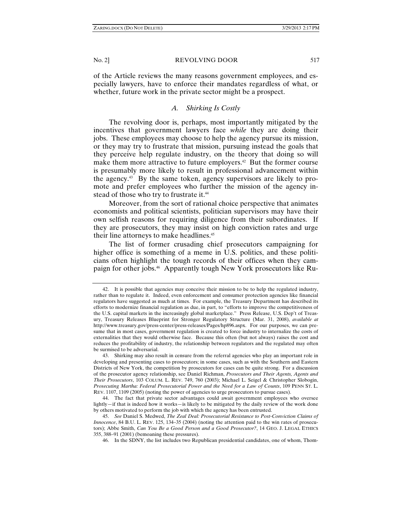of the Article reviews the many reasons government employees, and especially lawyers, have to enforce their mandates regardless of what, or whether, future work in the private sector might be a prospect.

#### *A. Shirking Is Costly*

The revolving door is, perhaps, most importantly mitigated by the incentives that government lawyers face *while* they are doing their jobs. These employees may choose to help the agency pursue its mission, or they may try to frustrate that mission, pursuing instead the goals that they perceive help regulate industry, on the theory that doing so will make them more attractive to future employers.<sup>42</sup> But the former course is presumably more likely to result in professional advancement within the agency.43 By the same token, agency supervisors are likely to promote and prefer employees who further the mission of the agency instead of those who try to frustrate it.<sup>44</sup>

Moreover, from the sort of rational choice perspective that animates economists and political scientists, politician supervisors may have their own selfish reasons for requiring diligence from their subordinates. If they are prosecutors, they may insist on high conviction rates and urge their line attorneys to make headlines.<sup>45</sup>

The list of former crusading chief prosecutors campaigning for higher office is something of a meme in U.S. politics, and these politicians often highlight the tough records of their offices when they campaign for other jobs.46 Apparently tough New York prosecutors like Ru-

 <sup>42.</sup> It is possible that agencies may conceive their mission to be to help the regulated industry, rather than to regulate it. Indeed, even enforcement and consumer protection agencies like financial regulators have suggested as much at times. For example, the Treasury Department has described its efforts to modernize financial regulation as due, in part, to "efforts to improve the competitiveness of the U.S. capital markets in the increasingly global marketplace." Press Release, U.S. Dep't of Treasury, Treasury Releases Blueprint for Stronger Regulatory Structure (Mar. 31, 2008), *available at* http://www.treasury.gov/press-center/press-releases/Pages/hp896.aspx. For our purposes, we can presume that in most cases, government regulation is created to force industry to internalize the costs of externalities that they would otherwise face. Because this often (but not always) raises the cost and reduces the profitability of industry, the relationship between regulators and the regulated may often be surmised to be adversarial.

 <sup>43.</sup> Shirking may also result in censure from the referral agencies who play an important role in developing and presenting cases to prosecutors; in some cases, such as with the Southern and Eastern Districts of New York, the competition by prosecutors for cases can be quite strong. For a discussion of the prosecutor agency relationship, see Daniel Richman, *Prosecutors and Their Agents, Agents and Their Prosecutors*, 103 COLUM. L. REV. 749, 760 (2003); Michael L. Seigel & Christopher Slobogin, *Prosecuting Martha: Federal Prosecutorial Power and the Need for a Law of Counts*, 109 PENN ST. L. REV. 1107, 1109 (2005) (noting the power of agencies to urge prosecutors to pursue cases).

 <sup>44.</sup> The fact that private sector advantages could await government employees who oversee lightly—if that is indeed how it works—is likely to be mitigated by the daily review of the work done by others motivated to perform the job with which the agency has been entrusted.

 <sup>45.</sup> *See* Daniel S. Medwed, *The Zeal Deal: Prosecutorial Resistance to Post*-*Conviction Claims of Innocence*, 84 B.U. L. REV. 125, 134–35 (2004) (noting the attention paid to the win rates of prosecutors); Abbe Smith, *Can You Be a Good Person and a Good Prosecutor?*, 14 GEO. J. LEGAL ETHICS 355, 388–91 (2001) (bemoaning these pressures).

 <sup>46.</sup> In the SDNY, the list includes two Republican presidential candidates, one of whom, Thom-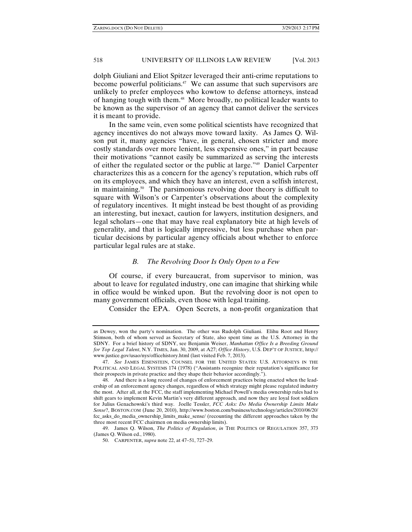ZARING.DOCX (DO NOT DELETE) 3/29/2013 2:17 PM

# 518 UNIVERSITY OF ILLINOIS LAW REVIEW [Vol. 2013

dolph Giuliani and Eliot Spitzer leveraged their anti-crime reputations to become powerful politicians.<sup>47</sup> We can assume that such supervisors are unlikely to prefer employees who kowtow to defense attorneys, instead of hanging tough with them.48 More broadly, no political leader wants to be known as the supervisor of an agency that cannot deliver the services it is meant to provide.

In the same vein, even some political scientists have recognized that agency incentives do not always move toward laxity. As James Q. Wilson put it, many agencies "have, in general, chosen stricter and more costly standards over more lenient, less expensive ones," in part because their motivations "cannot easily be summarized as serving the interests of either the regulated sector or the public at large."49 Daniel Carpenter characterizes this as a concern for the agency's reputation, which rubs off on its employees, and which they have an interest, even a selfish interest, in maintaining.<sup>50</sup> The parsimonious revolving door theory is difficult to square with Wilson's or Carpenter's observations about the complexity of regulatory incentives. It might instead be best thought of as providing an interesting, but inexact, caution for lawyers, institution designers, and legal scholars—one that may have real explanatory bite at high levels of generality, and that is logically impressive, but less purchase when particular decisions by particular agency officials about whether to enforce particular legal rules are at stake.

# *B. The Revolving Door Is Only Open to a Few*

Of course, if every bureaucrat, from supervisor to minion, was about to leave for regulated industry, one can imagine that shirking while in office would be winked upon. But the revolving door is not open to many government officials, even those with legal training.

Consider the EPA. Open Secrets, a non-profit organization that

as Dewey, won the party's nomination. The other was Rudolph Giuliani. Elihu Root and Henry Stimson, both of whom served as Secretary of State, also spent time as the U.S. Attorney in the SDNY. For a brief history of SDNY, see Benjamin Weiser, *Manhattan Office Is a Breeding Ground for Top Legal Talent*, N.Y. TIMES, Jan. 30, 2009, at A27; *Office History*, U.S. DEP'T OF JUSTICE, http:// www.justice.gov/usao/nys/officehistory.html (last visited Feb. 7, 2013).

 <sup>47.</sup> *See* JAMES EISENSTEIN, COUNSEL FOR THE UNITED STATES: U.S. ATTORNEYS IN THE POLITICAL AND LEGAL SYSTEMS 174 (1978) ("Assistants recognize their reputation's significance for their prospects in private practice and they shape their behavior accordingly.").

 <sup>48.</sup> And there is a long record of changes of enforcement practices being enacted when the leadership of an enforcement agency changes, regardless of which strategy might please regulated industry the most. After all, at the FCC, the staff implementing Michael Powell's media ownership rules had to shift gears to implement Kevin Martin's very different approach, and now they are loyal foot soldiers for Julius Genachowski's third way. Joelle Tessler, *FCC Asks: Do Media Ownership Limits Make Sense*?, BOSTON.COM (June 20, 2010), http://www.boston.com/business/technology/articles/2010/06/20/ fcc\_asks\_do\_media\_ownership\_limits\_make\_sense/ (recounting the different approaches taken by the three most recent FCC chairmen on media ownership limits).

 <sup>49.</sup> James Q. Wilson, *The Politics of Regulation*, *in* THE POLITICS OF REGULATION 357, 373 (James Q. Wilson ed., 1980).

 <sup>50.</sup> CARPENTER, *supra* note 22, at 47–51, 727–29.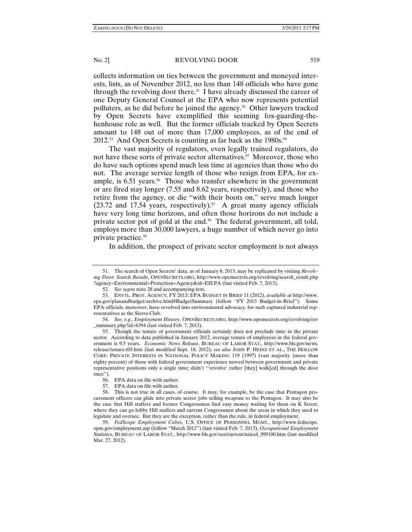collects information on ties between the government and moneyed interests, lists, as of November 2012, no less than 148 officials who have gone through the revolving door there.<sup>51</sup> I have already discussed the career of one Deputy General Counsel at the EPA who now represents potential polluters, as he did before he joined the agency.<sup>52</sup> Other lawyers tracked by Open Secrets have exemplified this seeming fox-guarding-thehenhouse role as well. But the former officials tracked by Open Secrets amount to 148 out of more than 17,000 employees, as of the end of 2012.<sup>53</sup> And Open Secrets is counting as far back as the 1980s.<sup>54</sup>

The vast majority of regulators, even legally trained regulators, do not have these sorts of private sector alternatives.<sup>55</sup> Moreover, those who do have such options spend much less time at agencies than those who do not. The average service length of those who resign from EPA, for example, is 6.51 years.<sup>56</sup> Those who transfer elsewhere in the government or are fired stay longer (7.55 and 8.62 years, respectively), and those who retire from the agency, or die "with their boots on," serve much longer  $(23.72 \text{ and } 17.54 \text{ years}, \text{ respectively})$ .<sup>57</sup> A great many agency officials have very long time horizons, and often those horizons do not include a private sector pot of gold at the end.<sup>58</sup> The federal government, all told, employs more than 30,000 lawyers, a huge number of which never go into private practice.59

In addition, the prospect of private sector employment is not always

 <sup>51.</sup> The search of Open Secrets' data, as of January 8, 2013, may be replicated by visiting *Revolving Door: Search Results*, OPENSECRETS.ORG, http://www.opensecrets.org/revolving/search\_result.php ?agency=Environmental+Protection+Agency&id=EIEPA (last visited Feb. 7, 2013).

 <sup>52.</sup> *See supra* note 28 and accompanying text.

 <sup>53.</sup> ENVTL. PROT. AGENCY, FY 2013: EPA BUDGET IN BRIEF 11 (2012), *available at* http://www. epa.gov/planandbudget/archive.html#BudgetSummary (follow "FY 2013 Budget-in-Brief"). Some EPA officials, moreover, have revolved into environmental advocacy, for such captured industrial representatives as the Sierra Club.

 <sup>54.</sup> *See, e.g.*, *Employment History*, OPENSECRETS.ORG, http://www.opensecrets.org/revolving/rev \_summary.php?id=6394 (last visited Feb. 7, 2013).

 <sup>55.</sup> Though the tenure of government officials certainly does not preclude time in the private sector. According to data published in January 2012, average tenure of employees in the federal government is 9.5 years. *Economic News Release*, BUREAU OF LABOR STAT., http://www.bls.gov/news. release/tenure.t05.htm (last modified Sept. 18, 2012); *see also* JOHN P. HEINZ ET AL., THE HOLLOW CORE: PRIVATE INTERESTS IN NATIONAL POLICY MAKING 119 (1997) (vast majority (more than eighty percent) of those with federal government experience moved between government and private representative positions only a single time; didn't "'revolve' rather [they] walk[ed] through the door once").

 <sup>56.</sup> EPA data on file with author.

 <sup>57.</sup> EPA data on file with author.

 <sup>58.</sup> This is not true in all cases, of course. It may, for example, be the case that Pentagon procurement officers can glide into private sector jobs selling weapons to the Pentagon. It may also be the case that Hill staffers and former Congressmen find easy money waiting for them on K Street, where they can go lobby Hill staffers and current Congressmen about the areas in which they used to legislate and oversee. But they are the exception, rather than the rule, in federal employment.

 <sup>59.</sup> *FedScope Employment Cubes*, U.S. OFFICE OF PERSONNEL MGMT., http://www.fedscope. opm.gov/employment.asp (follow "March 2012") (last visited Feb. 7, 2013); *Occupational Employment Statistics*, BUREAU OF LABOR STAT., http://www.bls.gov/oes/current/naics4\_999100.htm (last modified Mar. 27, 2012).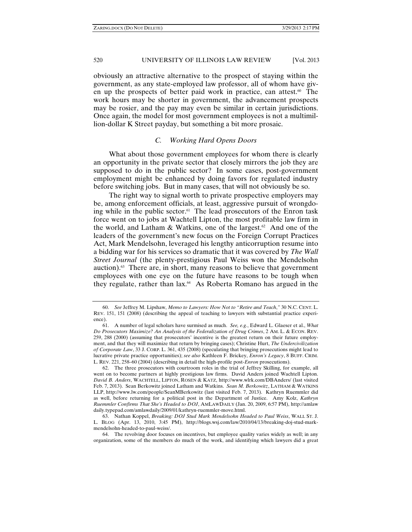obviously an attractive alternative to the prospect of staying within the government, as any state-employed law professor, all of whom have given up the prospects of better paid work in practice, can attest.<sup>60</sup> The work hours may be shorter in government, the advancement prospects may be rosier, and the pay may even be similar in certain jurisdictions. Once again, the model for most government employees is not a multimillion-dollar K Street payday, but something a bit more prosaic.

# *C. Working Hard Opens Doors*

What about those government employees for whom there is clearly an opportunity in the private sector that closely mirrors the job they are supposed to do in the public sector? In some cases, post-government employment might be enhanced by doing favors for regulated industry before switching jobs. But in many cases, that will not obviously be so.

The right way to signal worth to private prospective employers may be, among enforcement officials, at least, aggressive pursuit of wrongdoing while in the public sector.61 The lead prosecutors of the Enron task force went on to jobs at Wachtell Lipton, the most profitable law firm in the world, and Latham & Watkins, one of the largest.<sup>62</sup> And one of the leaders of the government's new focus on the Foreign Corrupt Practices Act, Mark Mendelsohn, leveraged his lengthy anticorruption resume into a bidding war for his services so dramatic that it was covered by *The Wall Street Journal* (the plenty-prestigious Paul Weiss won the Mendelsohn auction). $63$  There are, in short, many reasons to believe that government employees with one eye on the future have reasons to be tough when they regulate, rather than lax.<sup>64</sup> As Roberta Romano has argued in the

 <sup>60.</sup> *See* Jeffrey M. Lipshaw, *Memo to Lawyers: How Not to "Retire and Teach*,*"* 30 N.C. CENT. L. REV. 151, 151 (2008) (describing the appeal of teaching to lawyers with substantial practice experience).

 <sup>61.</sup> A number of legal scholars have surmised as much. *See, e.g.*, Edward L. Glaeser et al., *What Do Prosecutors Maximize? An Analysis of the Federalization of Drug Crimes*, 2 AM. L. & ECON. REV. 259, 288 (2000) (assuming that prosecutors' incentive is the greatest return on their future employment, and that they will maximize that return by bringing cases); Christine Hurt, *The Undercivilization of Corporate Law*, 33 J. CORP. L. 361, 435 (2008) (speculating that bringing prosecutions might lead to lucrative private practice opportunities); *see also* Kathleen F. Brickey, *Enron's Legacy*, 8 BUFF. CRIM. L. REV. 221, 258–60 (2004) (describing in detail the high-profile post-*Enron* prosecutions).

 <sup>62.</sup> The three prosecutors with courtroom roles in the trial of Jeffrey Skilling, for example, all went on to become partners at highly prestigious law firms. David Anders joined Wachtell Lipton. *David B. Anders*, WACHTELL, LIPTON, ROSEN & KATZ, http://www.wlrk.com/DBAnders/ (last visited Feb. 7, 2013). Sean Berkowitz joined Latham and Watkins. *Sean M. Berkowitz*, LATHAM & WATKINS LLP, http://www.lw.com/people/SeanMBerkowitz (last visited Feb. 7, 2013). Kathryn Ruemmler did as well, before returning for a political post in the Department of Justice. Amy Kolz, *Kathryn Ruemmler Confirms That She's Headed to DOJ*, AMLAWDAILY (Jan. 20, 2009, 6:57 PM), http://amlaw daily.typepad.com/amlawdaily/2009/01/kathryn-ruemmler-move.html.

 <sup>63.</sup> Nathan Koppel, *Breaking: DOJ Stud Mark Mendelsohn Headed to Paul Weiss*, WALL ST. J. L. BLOG (Apr. 13, 2010, 3:45 PM), http://blogs.wsj.com/law/2010/04/13/breaking-doj-stud-markmendelsohn-headed-to-paul-weiss/.

 <sup>64.</sup> The revolving door focuses on incentives, but employee quality varies widely as well; in any organization, some of the members do much of the work, and identifying which lawyers did a great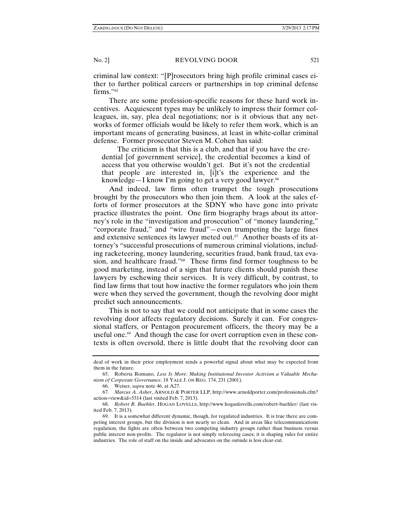criminal law context: "[P]rosecutors bring high profile criminal cases either to further political careers or partnerships in top criminal defense firms."<sup>65</sup>

There are some profession-specific reasons for these hard work incentives. Acquiescent types may be unlikely to impress their former colleagues, in, say, plea deal negotiations; nor is it obvious that any networks of former officials would be likely to refer them work, which is an important means of generating business, at least in white-collar criminal defense. Former prosecutor Steven M. Cohen has said:

The criticism is that this is a club, and that if you have the credential [of government service], the credential becomes a kind of access that you otherwise wouldn't get. But it's not the credential that people are interested in, [i]t's the experience and the knowledge—I know I'm going to get a very good lawyer. $66$ 

And indeed, law firms often trumpet the tough prosecutions brought by the prosecutors who then join them. A look at the sales efforts of former prosecutors at the SDNY who have gone into private practice illustrates the point. One firm biography brags about its attorney's role in the "investigation and prosecution" of "money laundering," "corporate fraud," and "wire fraud"—even trumpeting the large fines and extensive sentences its lawyer meted out. $67$  Another boasts of its attorney's "successful prosecutions of numerous criminal violations, including racketeering, money laundering, securities fraud, bank fraud, tax evasion, and healthcare fraud."<sup>68</sup> These firms find former toughness to be good marketing, instead of a sign that future clients should punish these lawyers by eschewing their services. It is very difficult, by contrast, to find law firms that tout how inactive the former regulators who join them were when they served the government, though the revolving door might predict such announcements.

This is not to say that we could not anticipate that in some cases the revolving door affects regulatory decisions. Surely it can. For congressional staffers, or Pentagon procurement officers, the theory may be a useful one. $69$  And though the case for overt corruption even in these contexts is often oversold, there is little doubt that the revolving door can

66. Weiser, *supra* note 46, at A27.

deal of work in their prior employment sends a powerful signal about what may be expected from them in the future.

 <sup>65.</sup> Roberta Romano, *Less Is More: Making Institutional Investor Activism a Valuable Mechanism of Corporate Governance*, 18 YALE J. ON REG. 174, 231 (2001).

 <sup>67.</sup> *Marcus A. Asher*, ARNOLD & PORTER LLP, http://www.arnoldporter.com/professionals.cfm? action=view&id=5314 (last visited Feb. 7, 2013).

 <sup>68.</sup> *Robert B. Buehler*, HOGAN LOVELLS, http://www.hoganlovells.com/robert-buehler/ (last visited Feb. 7, 2013).

 <sup>69.</sup> It is a somewhat different dynamic, though, for regulated industries. It is true there are competing interest groups, but the division is not nearly so clean. And in areas like telecommunications regulation, the fights are often between two competing industry groups rather than business versus public interest non-profits. The regulator is not simply refereeing cases; it is shaping rules for entire industries. The role of staff on the inside and advocates on the outside is less clear-cut.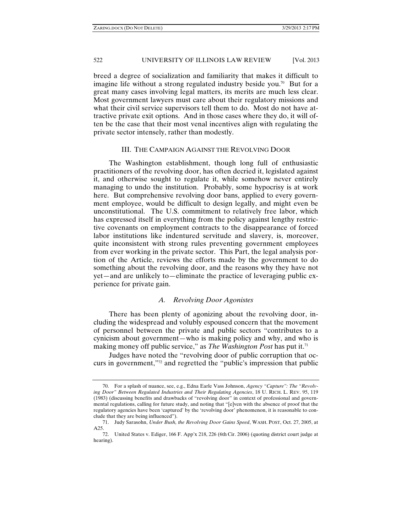breed a degree of socialization and familiarity that makes it difficult to imagine life without a strong regulated industry beside you.<sup>70</sup> But for a great many cases involving legal matters, its merits are much less clear. Most government lawyers must care about their regulatory missions and what their civil service supervisors tell them to do. Most do not have attractive private exit options. And in those cases where they do, it will often be the case that their most venal incentives align with regulating the private sector intensely, rather than modestly.

#### III. THE CAMPAIGN AGAINST THE REVOLVING DOOR

The Washington establishment, though long full of enthusiastic practitioners of the revolving door, has often decried it, legislated against it, and otherwise sought to regulate it, while somehow never entirely managing to undo the institution. Probably, some hypocrisy is at work here. But comprehensive revolving door bans, applied to every government employee, would be difficult to design legally, and might even be unconstitutional. The U.S. commitment to relatively free labor, which has expressed itself in everything from the policy against lengthy restrictive covenants on employment contracts to the disappearance of forced labor institutions like indentured servitude and slavery, is, moreover, quite inconsistent with strong rules preventing government employees from ever working in the private sector. This Part, the legal analysis portion of the Article, reviews the efforts made by the government to do something about the revolving door, and the reasons why they have not yet—and are unlikely to—eliminate the practice of leveraging public experience for private gain.

# *A. Revolving Door Agonistes*

There has been plenty of agonizing about the revolving door, including the widespread and volubly espoused concern that the movement of personnel between the private and public sectors "contributes to a cynicism about government—who is making policy and why, and who is making money off public service," as *The Washington Post* has put it.<sup>71</sup>

Judges have noted the "revolving door of public corruption that occurs in government,"72 and regretted the "public's impression that public

 <sup>70.</sup> For a splash of nuance, see, e.g., Edna Earle Vass Johnson, *Agency "Capture": The "Revolving Door" Between Regulated Industries and Their Regulating Agencies*, 18 U. RICH. L. REV. 95, 119 (1983) (discussing benefits and drawbacks of "revolving door" in context of professional and governmental regulations, calling for future study, and noting that "[e]ven with the absence of proof that the regulatory agencies have been 'captured' by the 'revolving door' phenomenon, it is reasonable to conclude that they are being influenced").

 <sup>71.</sup> Judy Sarasohn, *Under Bush, the Revolving Door Gains Speed*, WASH. POST, Oct. 27, 2005, at A25.

 <sup>72.</sup> United States v. Ediger, 166 F. App'x 218, 226 (6th Cir. 2006) (quoting district court judge at hearing).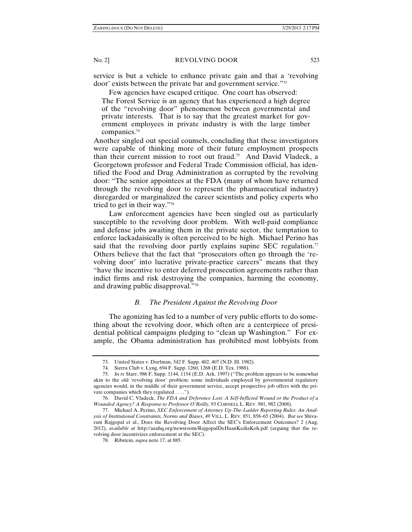service is but a vehicle to enhance private gain and that a 'revolving door' exists between the private bar and government service."73

Few agencies have escaped critique. One court has observed:

The Forest Service is an agency that has experienced a high degree of the "revolving door" phenomenon between governmental and private interests. That is to say that the greatest market for government employees in private industry is with the large timber companies.74

Another singled out special counsels, concluding that these investigators were capable of thinking more of their future employment prospects than their current mission to root out fraud.<sup>75</sup> And David Vladeck, a Georgetown professor and Federal Trade Commission official, has identified the Food and Drug Administration as corrupted by the revolving door: "The senior appointees at the FDA (many of whom have returned through the revolving door to represent the pharmaceutical industry) disregarded or marginalized the career scientists and policy experts who tried to get in their way."76

Law enforcement agencies have been singled out as particularly susceptible to the revolving door problem. With well-paid compliance and defense jobs awaiting them in the private sector, the temptation to enforce lackadaisically is often perceived to be high. Michael Perino has said that the revolving door partly explains supine SEC regulation.<sup>77</sup> Others believe that the fact that "prosecutors often go through the 'revolving door' into lucrative private-practice careers" means that they "have the incentive to enter deferred prosecution agreements rather than indict firms and risk destroying the companies, harming the economy, and drawing public disapproval."78

# *B. The President Against the Revolving Door*

The agonizing has led to a number of very public efforts to do something about the revolving door, which often are a centerpiece of presidential political campaigns pledging to "clean up Washington." For example, the Obama administration has prohibited most lobbyists from

 <sup>73.</sup> United States v. Dorfman, 542 F. Supp. 402, 407 (N.D. Ill. 1982).

 <sup>74.</sup> Sierra Club v. Lyng, 694 F. Supp. 1260, 1268 (E.D. Tex. 1988).

 <sup>75.</sup> *In re* Starr, 986 F. Supp. 1144, 1154 (E.D. Ark. 1997) ("The problem appears to be somewhat akin to the old 'revolving door' problem: some individuals employed by governmental regulatory agencies would, in the middle of their government service, accept prospective job offers with the private companies which they regulated . . . .").

 <sup>76.</sup> David C. Vladeck, *The FDA and Deference Lost: A Self-Inflicted Wound or the Product of a Wounded Agency? A Response to Professor O'Reilly*, 93 CORNELL L. REV. 981, 982 (2008).

 <sup>77.</sup> Michael A. Perino, *SEC Enforcement of Attorney Up-The-Ladder Reporting Rules: An Analysis of Institutional Constraints, Norms and Biases*, 49 VILL. L. REV. 851, 858–65 (2004). *But see* Shivaram Rajgopal et al., Does the Revolving Door Affect the SEC's Enforcement Outcomes? 2 (Aug. 2012), *available at* http://aaahq.org/newsroom/RajgopalDeHaanKediaKoh.pdf (arguing that the revolving door incentivizes enforcement at the SEC).

 <sup>78.</sup> Ribstein, *supra* note 17, at 885.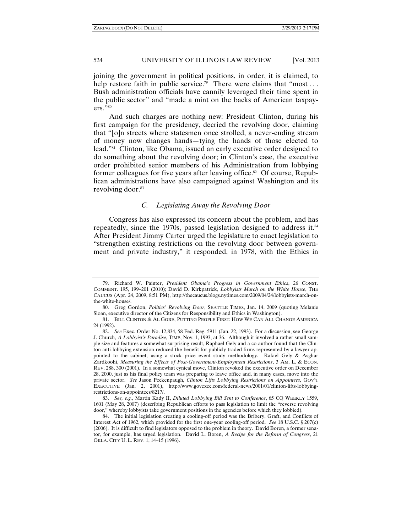joining the government in political positions, in order, it is claimed, to help restore faith in public service.<sup>79</sup> There were claims that "most... Bush administration officials have cannily leveraged their time spent in the public sector" and "made a mint on the backs of American taxpay $ers.^{\overline{,}80}$ 

And such charges are nothing new: President Clinton, during his first campaign for the presidency, decried the revolving door, claiming that "[o]n streets where statesmen once strolled, a never-ending stream of money now changes hands—tying the hands of those elected to lead."81 Clinton, like Obama, issued an early executive order designed to do something about the revolving door; in Clinton's case, the executive order prohibited senior members of his Administration from lobbying former colleagues for five years after leaving office.<sup>82</sup> Of course, Republican administrations have also campaigned against Washington and its revolving door.<sup>83</sup>

# *C. Legislating Away the Revolving Door*

Congress has also expressed its concern about the problem, and has repeatedly, since the 1970s, passed legislation designed to address it.<sup>84</sup> After President Jimmy Carter urged the legislature to enact legislation to "strengthen existing restrictions on the revolving door between government and private industry," it responded, in 1978, with the Ethics in

 <sup>79.</sup> Richard W. Painter, *President Obama's Progress in Government Ethics*, 26 CONST. COMMENT. 195, 199–201 (2010); David D. Kirkpatrick, *Lobbyists March on the White House*, THE CAUCUS (Apr. 24, 2009, 8:51 PM), http://thecaucus.blogs.nytimes.com/2009/04/24/lobbyists-march-onthe-white-house/.

 <sup>80.</sup> Greg Gordon, *Politics' Revolving Door*, SEATTLE TIMES, Jan. 14, 2009 (quoting Melanie Sloan, executive director of the Citizens for Responsibility and Ethics in Washington).

 <sup>81.</sup> BILL CLINTON & AL GORE, PUTTING PEOPLE FIRST: HOW WE CAN ALL CHANGE AMERICA 24 (1992).

 <sup>82.</sup> *See* Exec. Order No. 12,834, 58 Fed. Reg. 5911 (Jan. 22, 1993). For a discussion, see George J. Church, *A Lobbyist's Paradise*, TIME, Nov. 1, 1993, at 36. Although it involved a rather small sample size and features a somewhat surprising result, Raphael Gely and a co-author found that the Clinton anti-lobbying extension reduced the benefit for publicly traded firms represented by a lawyer appointed to the cabinet, using a stock price event study methodology. Rafael Gely & Asghar Zardkoohi, *Measuring the Effects of Post-Government-Employment Restrictions*, 3 AM. L. & ECON. REV. 288, 300 (2001). In a somewhat cynical move, Clinton revoked the executive order on December 28, 2000, just as his final policy team was preparing to leave office and, in many cases, move into the private sector. *See* Jason Peckenpaugh, *Clinton Lifts Lobbying Restrictions on Appointees*, GOV'T EXECUTIVE (Jan. 2, 2001), http://www.govexec.com/federal-news/2001/01/clinton-lifts-lobbyingrestrictions-on-appointees/8217/.

 <sup>83.</sup> *See, e.g.*, Martin Kady II, *Diluted Lobbying Bill Sent to Conference*, 65 CQ WEEKLY 1559, 1601 (May 28, 2007) (describing Republican efforts to pass legislation to limit the "reverse revolving door," whereby lobbyists take government positions in the agencies before which they lobbied).

 <sup>84.</sup> The initial legislation creating a cooling-off period was the Bribery, Graft, and Conflicts of Interest Act of 1962, which provided for the first one-year cooling-off period. *See* 18 U.S.C. § 207(c) (2006). It is difficult to find legislators opposed to the problem in theory. David Boren, a former senator, for example, has urged legislation. David L. Boren, *A Recipe for the Reform of Congress*, 21 OKLA. CITY U. L. REV. 1, 14–15 (1996).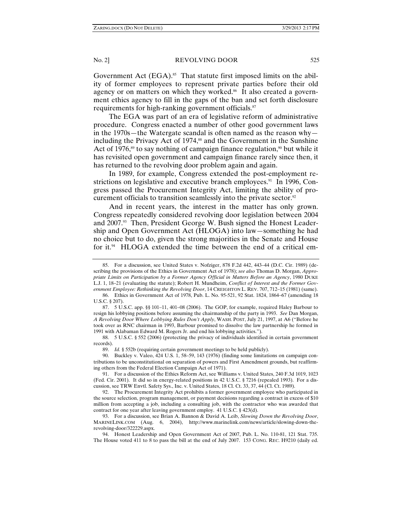Government Act  $(EGA)$ <sup>55</sup>. That statute first imposed limits on the ability of former employees to represent private parties before their old agency or on matters on which they worked.<sup>86</sup> It also created a government ethics agency to fill in the gaps of the ban and set forth disclosure requirements for high-ranking government officials.<sup>87</sup>

The EGA was part of an era of legislative reform of administrative procedure. Congress enacted a number of other good government laws in the 1970s—the Watergate scandal is often named as the reason why including the Privacy Act of 1974,<sup>88</sup> and the Government in the Sunshine Act of 1976,<sup>89</sup> to say nothing of campaign finance regulation,<sup>90</sup> but while it has revisited open government and campaign finance rarely since then, it has returned to the revolving door problem again and again.

In 1989, for example, Congress extended the post-employment restrictions on legislative and executive branch employees.<sup>91</sup> In 1996, Congress passed the Procurement Integrity Act, limiting the ability of procurement officials to transition seamlessly into the private sector.<sup>92</sup>

And in recent years, the interest in the matter has only grown. Congress repeatedly considered revolving door legislation between 2004 and 2007.<sup>93</sup> Then, President George W. Bush signed the Honest Leadership and Open Government Act (HLOGA) into law—something he had no choice but to do, given the strong majorities in the Senate and House for it.<sup>94</sup> HLOGA extended the time between the end of a critical em-

 88. 5 U.S.C. § 552 (2006) (protecting the privacy of individuals identified in certain government records).

 <sup>85.</sup> For a discussion, see United States v. Nofziger, 878 F.2d 442, 443–44 (D.C. Cir. 1989) (describing the provisions of the Ethics in Government Act of 1978); *see also* Thomas D. Morgan, *Appropriate Limits on Participation by a Former Agency Official in Matters Before an Agency*, 1980 DUKE L.J. 1, 18–21 (evaluating the statute); Robert H. Mundheim, *Conflict of Interest and the Former Government Employee: Rethinking the Revolving Door*, 14 CREIGHTON L. REV. 707, 712–15 (1981) (same).

 <sup>86.</sup> Ethics in Government Act of 1978, Pub. L. No. 95-521, 92 Stat. 1824, 1864–67 (amending 18 U.S.C. § 207).

 <sup>87. 5</sup> U.S.C. app. §§ 101–11, 401–08 (2006). The GOP, for example, required Haley Barbour to resign his lobbying positions before assuming the chairmanship of the party in 1993. *See* Dan Morgan, *A Revolving Door Where Lobbying Rules Don't Apply*, WASH. POST, July 21, 1997, at A6 ("Before he took over as RNC chairman in 1993, Barbour promised to dissolve the law partnership he formed in 1991 with Alabaman Edward M. Rogers Jr. and end his lobbying activities.").

 <sup>89.</sup> *Id.* § 552b (requiring certain government meetings to be held publicly).

 <sup>90.</sup> Buckley v. Valeo, 424 U.S. 1, 58–59, 143 (1976) (finding some limitations on campaign contributions to be unconstitutional on separation of powers and First Amendment grounds, but reaffirming others from the Federal Election Campaign Act of 1971).

 <sup>91.</sup> For a discussion of the Ethics Reform Act, see Williams v. United States, 240 F.3d 1019, 1023 (Fed. Cir. 2001). It did so in energy-related positions in 42 U.S.C. § 7216 (repealed 1993). For a discussion, see TRW Envtl. Safety Sys., Inc. v. United States, 18 Cl. Ct. 33, 37, 44 (Cl. Ct. 1989).

 <sup>92.</sup> The Procurement Integrity Act prohibits a former government employee who participated in the source selection, program management, or payment decisions regarding a contract in excess of \$10 million from accepting a job, including a consulting job, with the contractor who was awarded that contract for one year after leaving government employ. 41 U.S.C. § 423(d).

 <sup>93.</sup> For a discussion, see Brian A. Bannon & David A. Leib, *Slowing Down the Revolving Door*, MARINELINK.COM (Aug. 6, 2004), http://www.marinelink.com/news/article/slowing-down-therevolving-door/322229.aspx.

 <sup>94.</sup> Honest Leadership and Open Government Act of 2007, Pub. L. No. 110-81, 121 Stat. 735. The House voted 411 to 8 to pass the bill at the end of July 2007. 153 CONG. REC. H9210 (daily ed.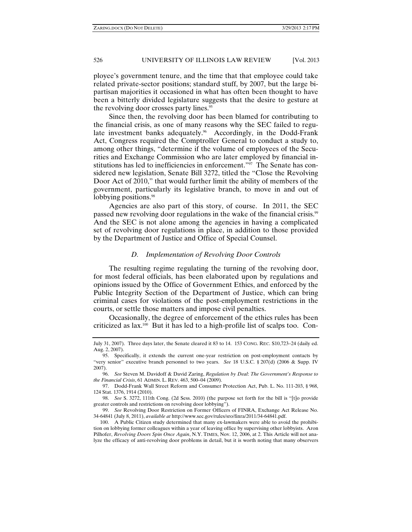ployee's government tenure, and the time that that employee could take related private-sector positions; standard stuff, by 2007, but the large bipartisan majorities it occasioned in what has often been thought to have been a bitterly divided legislature suggests that the desire to gesture at the revolving door crosses party lines.<sup>95</sup>

Since then, the revolving door has been blamed for contributing to the financial crisis, as one of many reasons why the SEC failed to regulate investment banks adequately.<sup>96</sup> Accordingly, in the Dodd-Frank Act, Congress required the Comptroller General to conduct a study to, among other things, "determine if the volume of employees of the Securities and Exchange Commission who are later employed by financial institutions has led to inefficiencies in enforcement."97 The Senate has considered new legislation, Senate Bill 3272, titled the "Close the Revolving Door Act of 2010," that would further limit the ability of members of the government, particularly its legislative branch, to move in and out of lobbying positions.<sup>98</sup>

Agencies are also part of this story, of course. In 2011, the SEC passed new revolving door regulations in the wake of the financial crisis.<sup>99</sup> And the SEC is not alone among the agencies in having a complicated set of revolving door regulations in place, in addition to those provided by the Department of Justice and Office of Special Counsel.

### *D. Implementation of Revolving Door Controls*

The resulting regime regulating the turning of the revolving door, for most federal officials, has been elaborated upon by regulations and opinions issued by the Office of Government Ethics, and enforced by the Public Integrity Section of the Department of Justice, which can bring criminal cases for violations of the post-employment restrictions in the courts, or settle those matters and impose civil penalties.

Occasionally, the degree of enforcement of the ethics rules has been criticized as lax.100 But it has led to a high-profile list of scalps too. Con-

July 31, 2007). Three days later, the Senate cleared it 83 to 14. 153 CONG. REC. S10,723–24 (daily ed. Aug. 2, 2007).

 <sup>95.</sup> Specifically, it extends the current one-year restriction on post-employment contacts by "very senior" executive branch personnel to two years. *See* 18 U.S.C. § 207(d) (2006 & Supp. IV 2007).

 <sup>96.</sup> *See* Steven M. Davidoff & David Zaring, *Regulation by Deal*: *The Government's Response to the Financial Crisis*, 61 ADMIN. L. REV. 463, 500–04 (2009).

 <sup>97.</sup> Dodd-Frank Wall Street Reform and Consumer Protection Act, Pub. L. No. 111-203, § 968, 124 Stat. 1376, 1914 (2010).

 <sup>98.</sup> *See* S. 3272, 111th Cong. (2d Sess. 2010) (the purpose set forth for the bill is "[t]o provide greater controls and restrictions on revolving door lobbying").

 <sup>99.</sup> *See* Revolving Door Restriction on Former Officers of FINRA, Exchange Act Release No. 34-64841 (July 8, 2011), *available at* http://www.sec.gov/rules/sro/finra/2011/34-64841.pdf.

 <sup>100.</sup> A Public Citizen study determined that many ex-lawmakers were able to avoid the prohibition on lobbying former colleagues within a year of leaving office by supervising other lobbyists. Aron Pilhofer, *Revolving Doors Spin Once Again*, N.Y. TIMES, Nov. 12, 2006, at 2. This Article will not analyze the efficacy of anti-revolving door problems in detail, but it is worth noting that many observers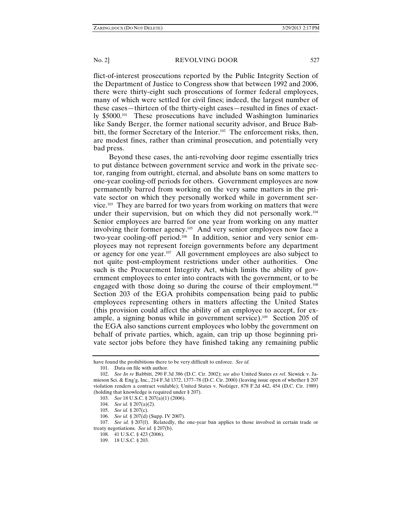flict-of-interest prosecutions reported by the Public Integrity Section of the Department of Justice to Congress show that between 1992 and 2006, there were thirty-eight such prosecutions of former federal employees, many of which were settled for civil fines; indeed, the largest number of these cases—thirteen of the thirty-eight cases—resulted in fines of exactly \$5000.101 These prosecutions have included Washington luminaries like Sandy Berger, the former national security advisor, and Bruce Babbitt, the former Secretary of the Interior.<sup>102</sup> The enforcement risks, then, are modest fines, rather than criminal prosecution, and potentially very bad press.

Beyond these cases, the anti-revolving door regime essentially tries to put distance between government service and work in the private sector, ranging from outright, eternal, and absolute bans on some matters to one-year cooling-off periods for others. Government employees are now permanently barred from working on the very same matters in the private sector on which they personally worked while in government service.103 They are barred for two years from working on matters that were under their supervision, but on which they did not personally work.<sup>104</sup> Senior employees are barred for one year from working on any matter involving their former agency.105 And very senior employees now face a two-year cooling-off period.106 In addition, senior and very senior employees may not represent foreign governments before any department or agency for one year.107 All government employees are also subject to not quite post-employment restrictions under other authorities. One such is the Procurement Integrity Act, which limits the ability of government employees to enter into contracts with the government, or to be engaged with those doing so during the course of their employment.<sup>108</sup> Section 203 of the EGA prohibits compensation being paid to public employees representing others in matters affecting the United States (this provision could affect the ability of an employee to accept, for example, a signing bonus while in government service).109 Section 205 of the EGA also sanctions current employees who lobby the government on behalf of private parties, which, again, can trip up those beginning private sector jobs before they have finished taking any remaining public

have found the prohibitions there to be very difficult to enforce. *See id.*

 <sup>101.</sup> Data on file with author.

 <sup>102.</sup> *See In re* Babbitt, 290 F.3d 386 (D.C. Cir. 2002); *see also* United States *ex rel*. Siewick v. Jamieson Sci. & Eng'g, Inc., 214 F.3d 1372, 1377–78 (D.C. Cir. 2000) (leaving issue open of whether § 207 violation renders a contract voidable); United States v. Nofziger, 878 F.2d 442, 454 (D.C. Cir. 1989) (holding that knowledge is required under § 207).

 <sup>103.</sup> *See* 18 U.S.C. § 207(a)(1) (2006).

 <sup>104.</sup> *See id.* § 207(a)(2).

 <sup>105.</sup> *See id.* § 207(c).

 <sup>106.</sup> *See id.* § 207(d) (Supp. IV 2007).

 <sup>107.</sup> *See id.* § 207(f). Relatedly, the one-year ban applies to those involved in certain trade or treaty negotiations. *See id.* § 207(b).

 <sup>108. 41</sup> U.S.C. § 423 (2006).

 <sup>109. 18</sup> U.S.C. § 203.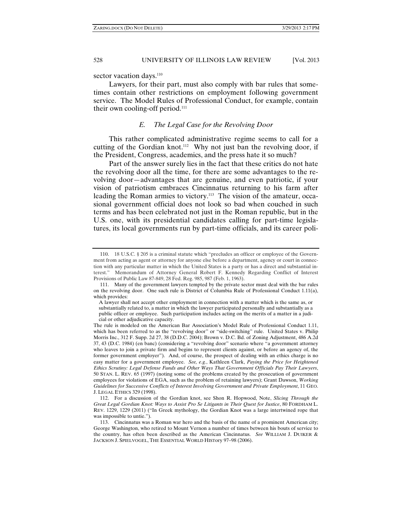sector vacation days.<sup>110</sup>

Lawyers, for their part, must also comply with bar rules that sometimes contain other restrictions on employment following government service. The Model Rules of Professional Conduct, for example, contain their own cooling-off period. $111$ 

### *E. The Legal Case for the Revolving Door*

This rather complicated administrative regime seems to call for a cutting of the Gordian knot.<sup>112</sup> Why not just ban the revolving door, if the President, Congress, academics, and the press hate it so much?

Part of the answer surely lies in the fact that these critics do not hate the revolving door all the time, for there are some advantages to the revolving door—advantages that are genuine, and even patriotic, if your vision of patriotism embraces Cincinnatus returning to his farm after leading the Roman armies to victory.113 The vision of the amateur, occasional government official does not look so bad when couched in such terms and has been celebrated not just in the Roman republic, but in the U.S. one, with its presidential candidates calling for part-time legislatures, its local governments run by part-time officials, and its career poli-

 <sup>110. 18</sup> U.S.C. § 205 is a criminal statute which "precludes an officer or employee of the Government from acting as agent or attorney for anyone else before a department, agency or court in connection with any particular matter in which the United States is a party or has a direct and substantial interest." Memorandum of Attorney General Robert F. Kennedy Regarding Conflict of Interest Provisions of Public Law 87-849, 28 Fed. Reg. 985, 987 (Feb. 1, 1963).

 <sup>111.</sup> Many of the government lawyers tempted by the private sector must deal with the bar rules on the revolving door. One such rule is District of Columbia Rule of Professional Conduct 1.11(a), which provides:

A lawyer shall not accept other employment in connection with a matter which is the same as, or substantially related to, a matter in which the lawyer participated personally and substantially as a public officer or employee. Such participation includes acting on the merits of a matter in a judicial or other adjudicative capacity.

The rule is modeled on the American Bar Association's Model Rule of Professional Conduct 1.11, which has been referred to as the "revolving door" or "side-switching" rule. United States v. Philip Morris Inc., 312 F. Supp. 2d 27, 38 (D.D.C. 2004); Brown v. D.C. Bd. of Zoning Adjustment, 486 A.2d 37, 43 (D.C. 1984) (en banc) (considering a "revolving door" scenario where "a government attorney who leaves to join a private firm and begins to represent clients against, or before an agency of, the former government employer"). And, of course, the prospect of dealing with an ethics charge is no easy matter for a government employee. *See, e.g.*, Kathleen Clark, *Paying the Price for Heightened Ethics Scrutiny: Legal Defense Funds and Other Ways That Government Officials Pay Their Lawyers*, 50 STAN. L. REV. 65 (1997) (noting some of the problems created by the prosecution of government employees for violations of EGA, such as the problem of retaining lawyers); Grant Dawson, *Working Guidelines for Successive Conflicts of Interest Involving Government and Private Employment*, 11 GEO. J. LEGAL ETHICS 329 (1998).

 <sup>112.</sup> For a discussion of the Gordian knot, see Shon R. Hopwood, Note, *Slicing Through the Great Legal Gordian Knot: Ways to Assist Pro Se Litigants in Their Quest for Justice*, 80 FORDHAM L. REV. 1229, 1229 (2011) ("In Greek mythology, the Gordian Knot was a large intertwined rope that was impossible to untie.").

 <sup>113.</sup> Cincinnatus was a Roman war hero and the basis of the name of a prominent American city; George Washington, who retired to Mount Vernon a number of times between his bouts of service to the country, has often been described as the American Cincinnatus. *See* WILLIAM J. DUIKER & JACKSON J. SPIELVOGEL, THE ESSENTIAL WORLD HISTory 97–98 (2006).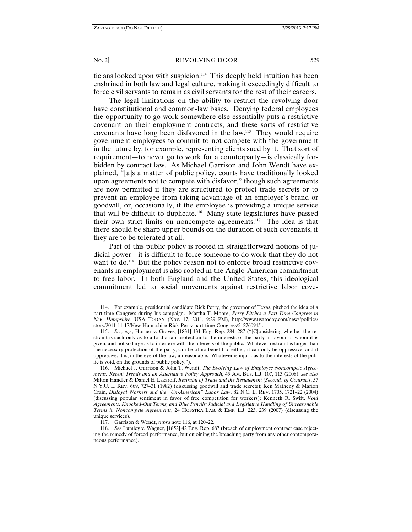ticians looked upon with suspicion.<sup>114</sup> This deeply held intuition has been enshrined in both law and legal culture, making it exceedingly difficult to force civil servants to remain as civil servants for the rest of their careers.

The legal limitations on the ability to restrict the revolving door have constitutional and common-law bases. Denying federal employees the opportunity to go work somewhere else essentially puts a restrictive covenant on their employment contracts, and these sorts of restrictive covenants have long been disfavored in the law.115 They would require government employees to commit to not compete with the government in the future by, for example, representing clients sued by it. That sort of requirement—to never go to work for a counterparty—is classically forbidden by contract law. As Michael Garrison and John Wendt have explained, "[a]s a matter of public policy, courts have traditionally looked upon agreements not to compete with disfavor," though such agreements are now permitted if they are structured to protect trade secrets or to prevent an employee from taking advantage of an employer's brand or goodwill, or, occasionally, if the employee is providing a unique service that will be difficult to duplicate.116 Many state legislatures have passed their own strict limits on noncompete agreements.117 The idea is that there should be sharp upper bounds on the duration of such covenants, if they are to be tolerated at all.

Part of this public policy is rooted in straightforward notions of judicial power—it is difficult to force someone to do work that they do not want to do.<sup>118</sup> But the policy reason not to enforce broad restrictive covenants in employment is also rooted in the Anglo-American commitment to free labor. In both England and the United States, this ideological commitment led to social movements against restrictive labor cove-

 <sup>114.</sup> For example, presidential candidate Rick Perry, the governor of Texas, pitched the idea of a part-time Congress during his campaign. Martha T. Moore, *Perry Pitches a Part-Time Congress in New Hampshire*, USA TODAY (Nov. 17, 2011, 9:29 PM), http://www.usatoday.com/news/politics/ story/2011-11-17/New-Hampshire-Rick-Perry-part-time-Congress/51276094/1.

 <sup>115.</sup> *See, e.g.*, Horner v. Graves, [1831] 131 Eng. Rep. 284, 287 ("[C]onsidering whether the restraint is such only as to afford a fair protection to the interests of the party in favour of whom it is given, and not so large as to interfere with the interests of the public. Whatever restraint is larger than the necessary protection of the party, can be of no benefit to either, it can only be oppressive; and if oppressive, it is, in the eye of the law, unreasonable. Whatever is injurious to the interests of the public is void, on the grounds of public policy.").

 <sup>116.</sup> Michael J. Garrison & John T. Wendt, *The Evolving Law of Employee Noncompete Agreements: Recent Trends and an Alternative Policy Approach*, 45 AM. BUS. L.J. 107, 113 (2008); *see also* Milton Handler & Daniel E. Lazaroff, *Restraint of Trade and the Restatement (Second) of Contracts*, 57 N.Y.U. L. REV. 669, 727–31 (1982) (discussing goodwill and trade secrets); Ken Matheny & Marion Crain, *Disloyal Workers and the "Un-American" Labor Law*, 82 N.C. L. REV. 1705, 1721–22 (2004) (discussing popular sentiment in favor of free competition for workers); Kenneth R. Swift, *Void Agreements, Knocked-Out Terms, and Blue Pencils: Judicial and Legislative Handling of Unreasonable Terms in Noncompete Agreements*, 24 HOFSTRA LAB. & EMP. L.J. 223, 239 (2007) (discussing the unique services).

 <sup>117.</sup> Garrison & Wendt, *supra* note 116, at 120–22.

 <sup>118.</sup> *See* Lumley v. Wagner, [1852] 42 Eng. Rep. 687 (breach of employment contract case rejecting the remedy of forced performance, but enjoining the breaching party from any other contemporaneous performance).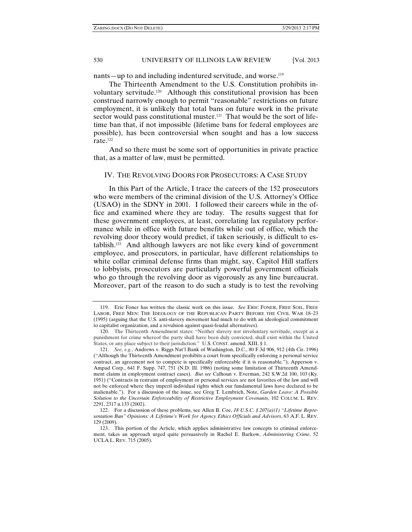ZARING.DOCX (DO NOT DELETE) 3/29/2013 2:17 PM

# 530 UNIVERSITY OF ILLINOIS LAW REVIEW [Vol. 2013]

nants—up to and including indentured servitude, and worse.<sup>119</sup>

The Thirteenth Amendment to the U.S. Constitution prohibits involuntary servitude.120 Although this constitutional provision has been construed narrowly enough to permit "reasonable" restrictions on future employment, it is unlikely that total bans on future work in the private sector would pass constitutional muster.<sup>121</sup> That would be the sort of lifetime ban that, if not impossible (lifetime bans for federal employees are possible), has been controversial when sought and has a low success rate.122

And so there must be some sort of opportunities in private practice that, as a matter of law, must be permitted.

### IV. THE REVOLVING DOORS FOR PROSECUTORS: A CASE STUDY

In this Part of the Article, I trace the careers of the 152 prosecutors who were members of the criminal division of the U.S. Attorney's Office (USAO) in the SDNY in 2001. I followed their careers while in the office and examined where they are today. The results suggest that for these government employees, at least, correlating lax regulatory performance while in office with future benefits while out of office, which the revolving door theory would predict, if taken seriously, is difficult to establish.123 And although lawyers are not like every kind of government employee, and prosecutors, in particular, have different relationships to white collar criminal defense firms than might, say, Capitol Hill staffers to lobbyists, prosecutors are particularly powerful government officials who go through the revolving door as vigorously as any line bureaucrat. Moreover, part of the reason to do such a study is to test the revolving

 <sup>119.</sup> Eric Foner has written the classic work on this issue. *See* ERIC FONER, FREE SOIL, FREE LABOR, FREE MEN: THE IDEOLOGY OF THE REPUBLICAN PARTY BEFORE THE CIVIL WAR 18–23 (1995) (arguing that the U.S. anti-slavery movement had much to do with an ideological commitment to capitalist organization, and a revulsion against quasi-feudal alternatives).

 <sup>120.</sup> The Thirteenth Amendment states: "Neither slavery nor involuntary servitude, except as a punishment for crime whereof the party shall have been duly convicted, shall exist within the United States, or any place subject to their jurisdiction." U.S. CONST. amend. XIII, § 1.

 <sup>121.</sup> *See, e.g.*, Andrews v. Riggs Nat'l Bank of Washington, D.C., 80 F.3d 906, 912 (4th Cir. 1996) ("Although the Thirteenth Amendment prohibits a court from specifically enforcing a personal service contract, an agreement not to compete is specifically enforceable if it is reasonable."); Apperson v. Ampad Corp., 641 F. Supp. 747, 751 (N.D. Ill. 1986) (noting some limitation of Thirteenth Amendment claims in employment contract cases). *But see* Calhoun v. Everman, 242 S.W.2d 100, 103 (Ky. 1951) ("Contracts in restraint of employment or personal services are not favorites of the law and will not be enforced where they imperil individual rights which our fundamental laws have declared to be inalienable."). For a discussion of the issue, see Greg T. Lembrich, Note, *Garden Leave: A Possible Solution to the Uncertain Enforceability of Restrictive Employment Covenants*, 102 COLUM. L. REV. 2291, 2317 n.133 (2002).

 <sup>122.</sup> For a discussion of these problems, see Allen B. Coe, *18 U.S.C. § 207(a)(1) "Lifetime Representation Ban" Opinions: A Lifetime's Work for Agency Ethics Officials and Advisors*, 63 A.F. L. REV. 129 (2009).

 <sup>123.</sup> This portion of the Article, which applies administrative law concepts to criminal enforcement, takes an approach urged quite persuasively in Rachel E. Barkow, *Administering Crime*, 52 UCLA L. REV. 715 (2005).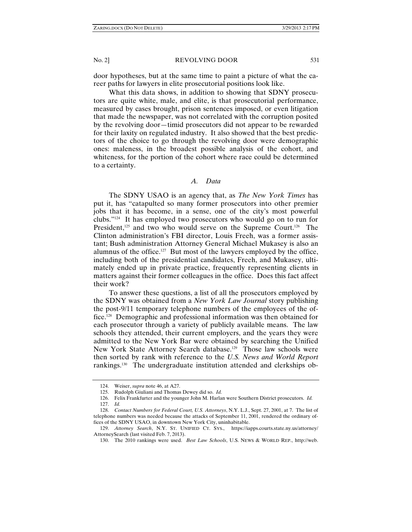door hypotheses, but at the same time to paint a picture of what the career paths for lawyers in elite prosecutorial positions look like.

What this data shows, in addition to showing that SDNY prosecutors are quite white, male, and elite, is that prosecutorial performance, measured by cases brought, prison sentences imposed, or even litigation that made the newspaper, was not correlated with the corruption posited by the revolving door—timid prosecutors did not appear to be rewarded for their laxity on regulated industry. It also showed that the best predictors of the choice to go through the revolving door were demographic ones: maleness, in the broadest possible analysis of the cohort, and whiteness, for the portion of the cohort where race could be determined to a certainty.

#### *A. Data*

The SDNY USAO is an agency that, as *The New York Times* has put it, has "catapulted so many former prosecutors into other premier jobs that it has become, in a sense, one of the city's most powerful clubs."124 It has employed two prosecutors who would go on to run for President,<sup>125</sup> and two who would serve on the Supreme Court.<sup>126</sup> The Clinton administration's FBI director, Louis Freeh, was a former assistant; Bush administration Attorney General Michael Mukasey is also an alumnus of the office.<sup>127</sup> But most of the lawyers employed by the office, including both of the presidential candidates, Freeh, and Mukasey, ultimately ended up in private practice, frequently representing clients in matters against their former colleagues in the office. Does this fact affect their work?

To answer these questions, a list of all the prosecutors employed by the SDNY was obtained from a *New York Law Journal* story publishing the post-9/11 temporary telephone numbers of the employees of the office.128 Demographic and professional information was then obtained for each prosecutor through a variety of publicly available means. The law schools they attended, their current employers, and the years they were admitted to the New York Bar were obtained by searching the Unified New York State Attorney Search database.<sup>129</sup> Those law schools were then sorted by rank with reference to the *U.S. News and World Report*  rankings.130 The undergraduate institution attended and clerkships ob-

 <sup>124.</sup> Weiser, *supra* note 46, at A27.

 <sup>125.</sup> Rudolph Giuliani and Thomas Dewey did so. *Id.* 

 <sup>126.</sup> Felix Frankfurter and the younger John M. Harlan were Southern District prosecutors. *Id.*

 <sup>127.</sup> *Id.*

 <sup>128.</sup> *Contact Numbers for Federal Court, U.S. Attorneys*, N.Y. L.J., Sept. 27, 2001, at 7. The list of telephone numbers was needed because the attacks of September 11, 2001, rendered the ordinary offices of the SDNY USAO, in downtown New York City, uninhabitable.

 <sup>129.</sup> *Attorney Search*, N.Y. ST. UNIFIED CT. SYS., https://iapps.courts.state.ny.us/attorney/ AttorneySearch (last visited Feb. 7, 2013).

 <sup>130.</sup> The 2010 rankings were used. *Best Law Schools*, U.S. NEWS & WORLD REP., http://web.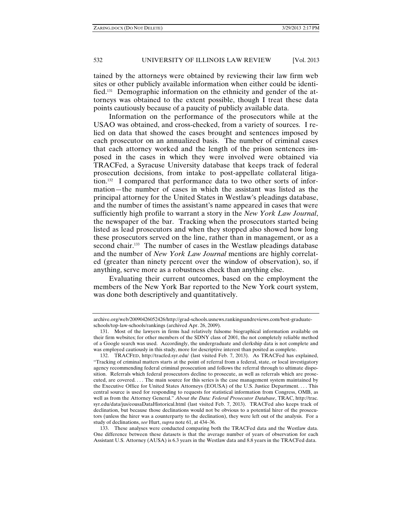tained by the attorneys were obtained by reviewing their law firm web sites or other publicly available information when either could be identified.131 Demographic information on the ethnicity and gender of the attorneys was obtained to the extent possible, though I treat these data points cautiously because of a paucity of publicly available data.

Information on the performance of the prosecutors while at the USAO was obtained, and cross-checked, from a variety of sources. I relied on data that showed the cases brought and sentences imposed by each prosecutor on an annualized basis. The number of criminal cases that each attorney worked and the length of the prison sentences imposed in the cases in which they were involved were obtained via TRACFed, a Syracuse University database that keeps track of federal prosecution decisions, from intake to post-appellate collateral litigation.132 I compared that performance data to two other sorts of information—the number of cases in which the assistant was listed as the principal attorney for the United States in Westlaw's pleadings database, and the number of times the assistant's name appeared in cases that were sufficiently high profile to warrant a story in the *New York Law Journal*, the newspaper of the bar. Tracking when the prosecutors started being listed as lead prosecutors and when they stopped also showed how long these prosecutors served on the line, rather than in management, or as a second chair.<sup>133</sup> The number of cases in the Westlaw pleadings database and the number of *New York Law Journal* mentions are highly correlated (greater than ninety percent over the window of observation), so, if anything, serve more as a robustness check than anything else.

Evaluating their current outcomes, based on the employment the members of the New York Bar reported to the New York court system, was done both descriptively and quantitatively.

 133. These analyses were conducted comparing both the TRACFed data and the Westlaw data. One difference between these datasets is that the average number of years of observation for each Assistant U.S. Attorney (AUSA) is 6.3 years in the Westlaw data and 8.8 years in the TRACFed data.

archive.org/web/20090426052426/http://grad-schools.usnews.rankingsandreviews.com/best-graduateschools/top-law-schools/rankings (archived Apr. 26, 2009).

 <sup>131.</sup> Most of the lawyers in firms had relatively fulsome biographical information available on their firm websites; for other members of the SDNY class of 2001, the not completely reliable method of a Google search was used. Accordingly, the undergraduate and clerkship data is not complete and was employed cautiously in this study, more for descriptive interest than posited as complete.

 <sup>132.</sup> TRACFED, http://tracfed.syr.edu/ (last visited Feb. 7, 2013). As TRACFed has explained, "Tracking of criminal matters starts at the point of referral from a federal, state, or local investigatory agency recommending federal criminal prosecution and follows the referral through to ultimate disposition. Referrals which federal prosecutors decline to prosecute, as well as referrals which are prosecuted, are covered. . . . The main source for this series is the case management system maintained by the Executive Office for United States Attorneys (EOUSA) of the U.S. Justice Department. . . . This central source is used for responding to requests for statistical information from Congress, OMB, as well as from the Attorney General." *About the Data: Federal Prosecutor Database*, TRAC, http://trac. syr.edu/data/jus/eousaDataHistorical.html (last visited Feb. 7, 2013). TRACFed also keeps track of declination, but because those declinations would not be obvious to a potential hirer of the prosecutors (unless the hirer was a counterparty to the declination), they were left out of the analysis. For a study of declinations, *see* Hurt, *supra* note 61, at 434–36.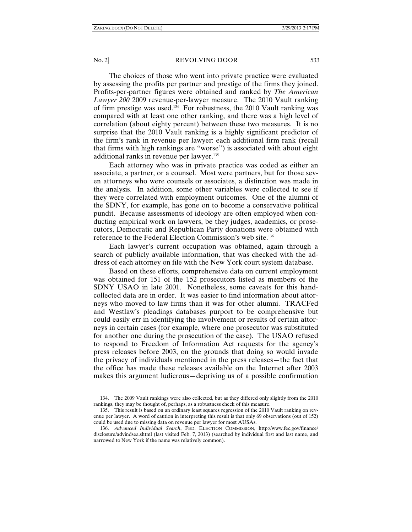The choices of those who went into private practice were evaluated by assessing the profits per partner and prestige of the firms they joined. Profits-per-partner figures were obtained and ranked by *The American Lawyer 200* 2009 revenue-per-lawyer measure. The 2010 Vault ranking of firm prestige was used.<sup>134</sup> For robustness, the 2010 Vault ranking was compared with at least one other ranking, and there was a high level of correlation (about eighty percent) between these two measures. It is no surprise that the 2010 Vault ranking is a highly significant predictor of the firm's rank in revenue per lawyer: each additional firm rank (recall that firms with high rankings are "worse") is associated with about eight additional ranks in revenue per lawyer.<sup>135</sup>

Each attorney who was in private practice was coded as either an associate, a partner, or a counsel. Most were partners, but for those seven attorneys who were counsels or associates, a distinction was made in the analysis. In addition, some other variables were collected to see if they were correlated with employment outcomes. One of the alumni of the SDNY, for example, has gone on to become a conservative political pundit. Because assessments of ideology are often employed when conducting empirical work on lawyers, be they judges, academics, or prosecutors, Democratic and Republican Party donations were obtained with reference to the Federal Election Commission's web site.136

Each lawyer's current occupation was obtained, again through a search of publicly available information, that was checked with the address of each attorney on file with the New York court system database.

Based on these efforts, comprehensive data on current employment was obtained for 151 of the 152 prosecutors listed as members of the SDNY USAO in late 2001. Nonetheless, some caveats for this handcollected data are in order. It was easier to find information about attorneys who moved to law firms than it was for other alumni. TRACFed and Westlaw's pleadings databases purport to be comprehensive but could easily err in identifying the involvement or results of certain attorneys in certain cases (for example, where one prosecutor was substituted for another one during the prosecution of the case). The USAO refused to respond to Freedom of Information Act requests for the agency's press releases before 2003, on the grounds that doing so would invade the privacy of individuals mentioned in the press releases—the fact that the office has made these releases available on the Internet after 2003 makes this argument ludicrous—depriving us of a possible confirmation

 <sup>134.</sup> The 2009 Vault rankings were also collected, but as they differed only slightly from the 2010 rankings, they may be thought of, perhaps, as a robustness check of this measure.

 <sup>135.</sup> This result is based on an ordinary least squares regression of the 2010 Vault ranking on revenue per lawyer. A word of caution in interpreting this result is that only 69 observations (out of 152) could be used due to missing data on revenue per lawyer for most AUSAs.

 <sup>136.</sup> *Advanced Individual Search*, FED. ELECTION COMMISSION, http://www.fec.gov/finance/ disclosure/advindsea.shtml (last visited Feb. 7, 2013) (searched by individual first and last name, and narrowed to New York if the name was relatively common).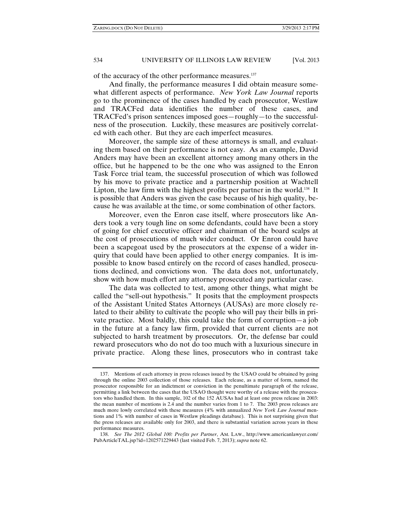of the accuracy of the other performance measures.137

And finally, the performance measures I did obtain measure somewhat different aspects of performance. *New York Law Journal* reports go to the prominence of the cases handled by each prosecutor, Westlaw and TRACFed data identifies the number of these cases, and TRACFed's prison sentences imposed goes—roughly—to the successfulness of the prosecution. Luckily, these measures are positively correlated with each other. But they are each imperfect measures.

Moreover, the sample size of these attorneys is small, and evaluating them based on their performance is not easy. As an example, David Anders may have been an excellent attorney among many others in the office, but he happened to be the one who was assigned to the Enron Task Force trial team, the successful prosecution of which was followed by his move to private practice and a partnership position at Wachtell Lipton, the law firm with the highest profits per partner in the world.<sup>138</sup> It is possible that Anders was given the case because of his high quality, because he was available at the time, or some combination of other factors.

Moreover, even the Enron case itself, where prosecutors like Anders took a very tough line on some defendants, could have been a story of going for chief executive officer and chairman of the board scalps at the cost of prosecutions of much wider conduct. Or Enron could have been a scapegoat used by the prosecutors at the expense of a wider inquiry that could have been applied to other energy companies. It is impossible to know based entirely on the record of cases handled, prosecutions declined, and convictions won. The data does not, unfortunately, show with how much effort any attorney prosecuted any particular case.

The data was collected to test, among other things, what might be called the "sell-out hypothesis." It posits that the employment prospects of the Assistant United States Attorneys (AUSAs) are more closely related to their ability to cultivate the people who will pay their bills in private practice. Most baldly, this could take the form of corruption—a job in the future at a fancy law firm, provided that current clients are not subjected to harsh treatment by prosecutors. Or, the defense bar could reward prosecutors who do not do too much with a luxurious sinecure in private practice. Along these lines, prosecutors who in contrast take

 <sup>137.</sup> Mentions of each attorney in press releases issued by the USAO could be obtained by going through the online 2003 collection of those releases. Each release, as a matter of form, named the prosecutor responsible for an indictment or conviction in the penultimate paragraph of the release, permitting a link between the cases that the USAO thought were worthy of a release with the prosecutors who handled them. In this sample, 102 of the 152 AUSAs had at least one press release in 2003: the mean number of mentions is 2.4 and the number varies from 1 to 7. The 2003 press releases are much more lowly correlated with these measures (4% with annualized *New York Law Journal* mentions and 1% with number of cases in Westlaw pleadings database). This is not surprising given that the press releases are available only for 2003, and there is substantial variation across years in these performance measures.

 <sup>138.</sup> *See The 2012 Global 100: Profits per Partner*, AM. LAW., http://www.americanlawyer.com/ PubArticleTAL.jsp?id=1202571229443 (last visited Feb. 7, 2013); *supra* note 62.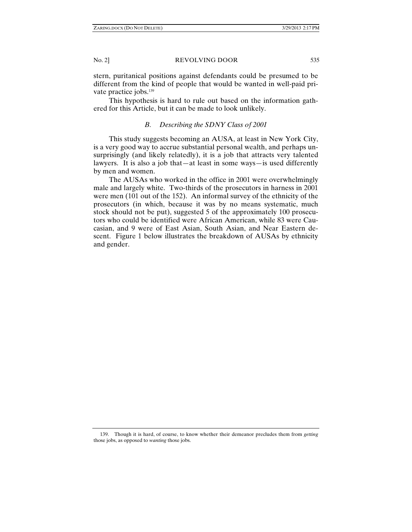stern, puritanical positions against defendants could be presumed to be different from the kind of people that would be wanted in well-paid private practice jobs.<sup>139</sup>

This hypothesis is hard to rule out based on the information gathered for this Article, but it can be made to look unlikely.

# *B. Describing the SDNY Class of 2001*

This study suggests becoming an AUSA, at least in New York City, is a very good way to accrue substantial personal wealth, and perhaps unsurprisingly (and likely relatedly), it is a job that attracts very talented lawyers. It is also a job that—at least in some ways—is used differently by men and women.

The AUSAs who worked in the office in 2001 were overwhelmingly male and largely white. Two-thirds of the prosecutors in harness in 2001 were men (101 out of the 152). An informal survey of the ethnicity of the prosecutors (in which, because it was by no means systematic, much stock should not be put), suggested 5 of the approximately 100 prosecutors who could be identified were African American, while 83 were Caucasian, and 9 were of East Asian, South Asian, and Near Eastern descent. Figure 1 below illustrates the breakdown of AUSAs by ethnicity and gender.

 <sup>139.</sup> Though it is hard, of course, to know whether their demeanor precludes them from *getting*  those jobs, as opposed to *wanting* those jobs.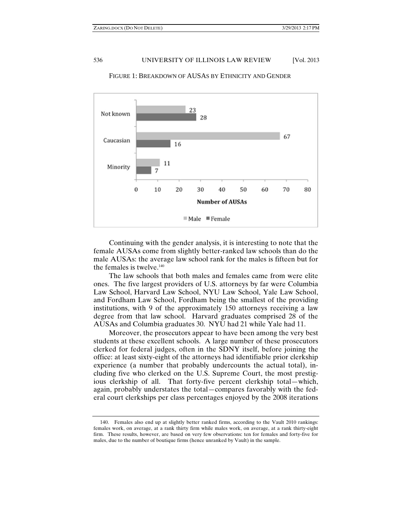

FIGURE 1: BREAKDOWN OF AUSAS BY ETHNICITY AND GENDER

Continuing with the gender analysis, it is interesting to note that the female AUSAs come from slightly better-ranked law schools than do the male AUSAs: the average law school rank for the males is fifteen but for the females is twelve.<sup>140</sup>

The law schools that both males and females came from were elite ones. The five largest providers of U.S. attorneys by far were Columbia Law School, Harvard Law School, NYU Law School, Yale Law School, and Fordham Law School, Fordham being the smallest of the providing institutions, with 9 of the approximately 150 attorneys receiving a law degree from that law school. Harvard graduates comprised 28 of the AUSAs and Columbia graduates 30. NYU had 21 while Yale had 11.

Moreover, the prosecutors appear to have been among the very best students at these excellent schools. A large number of these prosecutors clerked for federal judges, often in the SDNY itself, before joining the office: at least sixty-eight of the attorneys had identifiable prior clerkship experience (a number that probably undercounts the actual total), including five who clerked on the U.S. Supreme Court, the most prestigious clerkship of all. That forty-five percent clerkship total—which, again, probably understates the total—compares favorably with the federal court clerkships per class percentages enjoyed by the 2008 iterations

 <sup>140.</sup> Females also end up at slightly better ranked firms, according to the Vault 2010 rankings: females work, on average, at a rank thirty firm while males work, on average, at a rank thirty-eight firm. These results, however, are based on very few observations: ten for females and forty-five for males, due to the number of boutique firms (hence unranked by Vault) in the sample.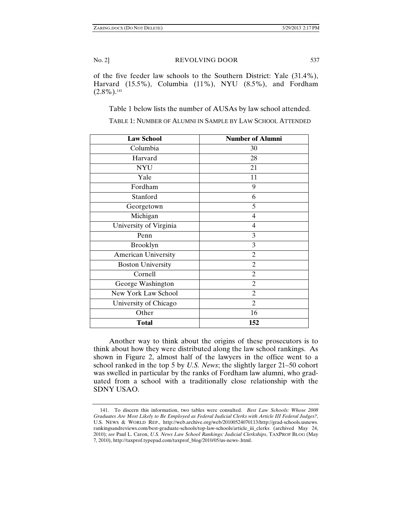of the five feeder law schools to the Southern District: Yale (31.4%), Harvard (15.5%), Columbia (11%), NYU (8.5%), and Fordham  $(2.8\%)$ <sup>141</sup>

Table 1 below lists the number of AUSAs by law school attended.

| <b>Law School</b>          | <b>Number of Alumni</b> |
|----------------------------|-------------------------|
| Columbia                   | 30                      |
| Harvard                    | 28                      |
| <b>NYU</b>                 | 21                      |
| Yale                       | 11                      |
| Fordham                    | 9                       |
| Stanford                   | 6                       |
| Georgetown                 | 5                       |
| Michigan                   | $\overline{4}$          |
| University of Virginia     | 4                       |
| Penn                       | 3                       |
| Brooklyn                   | 3                       |
| <b>American University</b> | $\overline{2}$          |
| <b>Boston University</b>   | $\overline{2}$          |
| Cornell                    | $\overline{c}$          |
| George Washington          | $\overline{c}$          |
| <b>New York Law School</b> | $\overline{c}$          |
| University of Chicago      | $\overline{c}$          |
| Other                      | 16                      |
| <b>Total</b>               | 152                     |

TABLE 1: NUMBER OF ALUMNI IN SAMPLE BY LAW SCHOOL ATTENDED

Another way to think about the origins of these prosecutors is to think about how they were distributed along the law school rankings. As shown in Figure 2, almost half of the lawyers in the office went to a school ranked in the top 5 by *U.S. News*; the slightly larger 21–50 cohort was swelled in particular by the ranks of Fordham law alumni, who graduated from a school with a traditionally close relationship with the SDNY USAO.

 <sup>141.</sup> To discern this information, two tables were consulted. *Best Law Schools: Whose 2008 Graduates Are Most Likely to Be Employed as Federal Judicial Clerks with Article III Federal Judges?*, U.S. NEWS & WORLD REP., http://web.archive.org/web/20100524070113/http://grad-schools.usnews. rankingsandreviews.com/best-graduate-schools/top-law-schools/article\_iii\_clerks (archived May 24, 2010); *see* Paul L. Caron, *U.S. News Law School Rankings: Judicial Clerkships*, TAXPROF BLOG (May 7, 2010), http://taxprof.typepad.com/taxprof\_blog/2010/05/us-news-.html.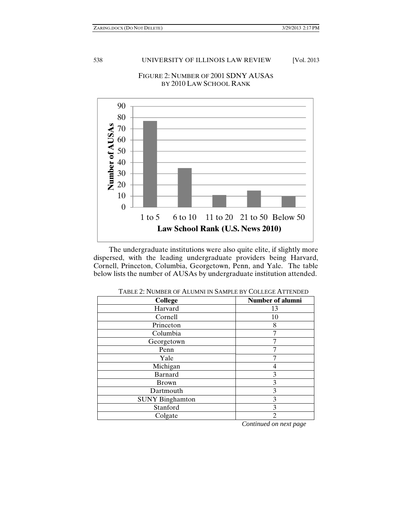

# FIGURE 2: NUMBER OF 2001 SDNY AUSAS BY 2010 LAW SCHOOL RANK

The undergraduate institutions were also quite elite, if slightly more dispersed, with the leading undergraduate providers being Harvard, Cornell, Princeton, Columbia, Georgetown, Penn, and Yale. The table below lists the number of AUSAs by undergraduate institution attended.

| TADLL 2. I JONDLA OF TILOMIJI IN DAMI LE DT COLLEOL I II I LIJDED |                         |  |
|-------------------------------------------------------------------|-------------------------|--|
| <b>College</b>                                                    | <b>Number of alumni</b> |  |
| Harvard                                                           | 13                      |  |
| Cornell                                                           | 10                      |  |
| Princeton                                                         | 8                       |  |
| Columbia                                                          |                         |  |
| Georgetown                                                        |                         |  |
| Penn                                                              |                         |  |
| Yale                                                              |                         |  |
| Michigan                                                          |                         |  |
| <b>Barnard</b>                                                    | 3                       |  |
| <b>Brown</b>                                                      | 3                       |  |
| Dartmouth                                                         | 3                       |  |
| <b>SUNY Binghamton</b>                                            | 3                       |  |
| Stanford                                                          | 3                       |  |
| Colgate                                                           | $\mathcal{D}$           |  |

TABLE 2: NUMBER OF ALUMNI IN SAMPLE BY COLLEGE ATTENDED

 *Continued on next page*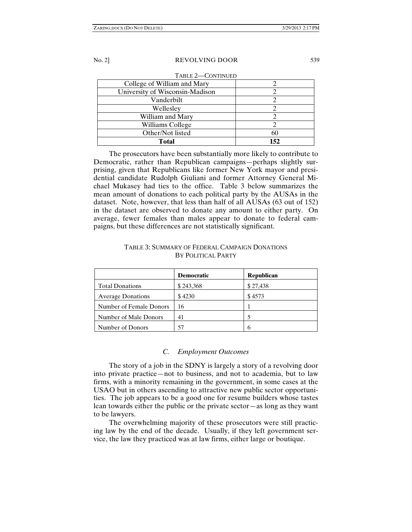| TABLE 2-CONTINUED               |     |  |  |  |
|---------------------------------|-----|--|--|--|
| College of William and Mary     |     |  |  |  |
| University of Wisconsin-Madison |     |  |  |  |
| Vanderbilt                      |     |  |  |  |
| Wellesley                       |     |  |  |  |
| William and Mary                |     |  |  |  |
| Williams College                |     |  |  |  |
| Other/Not listed                | 60  |  |  |  |
| Total                           | 152 |  |  |  |

The prosecutors have been substantially more likely to contribute to Democratic, rather than Republican campaigns—perhaps slightly surprising, given that Republicans like former New York mayor and presidential candidate Rudolph Giuliani and former Attorney General Michael Mukasey had ties to the office. Table 3 below summarizes the mean amount of donations to each political party by the AUSAs in the dataset. Note, however, that less than half of all AUSAs (63 out of 152) in the dataset are observed to donate any amount to either party. On average, fewer females than males appear to donate to federal campaigns, but these differences are not statistically significant.

|                          | <b>Democratic</b> | <b>Republican</b> |
|--------------------------|-------------------|-------------------|
| <b>Total Donations</b>   | \$243,368         | \$27,438          |
| <b>Average Donations</b> | \$4230            | \$4573            |
| Number of Female Donors  | 16                |                   |
| Number of Male Donors    | 41                |                   |
| Number of Donors         | 57                | 6                 |

# TABLE 3: SUMMARY OF FEDERAL CAMPAIGN DONATIONS BY POLITICAL PARTY

#### *C. Employment Outcomes*

The story of a job in the SDNY is largely a story of a revolving door into private practice—not to business, and not to academia, but to law firms, with a minority remaining in the government, in some cases at the USAO but in others ascending to attractive new public sector opportunities. The job appears to be a good one for resume builders whose tastes lean towards either the public or the private sector—as long as they want to be lawyers.

The overwhelming majority of these prosecutors were still practicing law by the end of the decade. Usually, if they left government service, the law they practiced was at law firms, either large or boutique.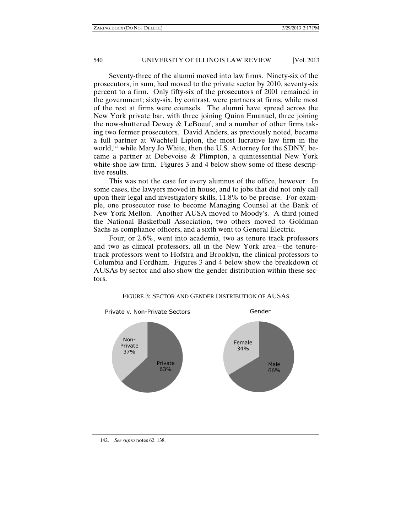Seventy-three of the alumni moved into law firms. Ninety-six of the prosecutors, in sum, had moved to the private sector by 2010, seventy-six percent to a firm. Only fifty-six of the prosecutors of 2001 remained in the government; sixty-six, by contrast, were partners at firms, while most of the rest at firms were counsels. The alumni have spread across the New York private bar, with three joining Quinn Emanuel, three joining the now-shuttered Dewey & LeBoeuf, and a number of other firms taking two former prosecutors. David Anders, as previously noted, became a full partner at Wachtell Lipton, the most lucrative law firm in the world,<sup>142</sup> while Mary Jo White, then the U.S. Attorney for the SDNY, became a partner at Debevoise & Plimpton, a quintessential New York white-shoe law firm. Figures 3 and 4 below show some of these descriptive results.

This was not the case for every alumnus of the office, however. In some cases, the lawyers moved in house, and to jobs that did not only call upon their legal and investigatory skills, 11.8% to be precise. For example, one prosecutor rose to become Managing Counsel at the Bank of New York Mellon. Another AUSA moved to Moody's. A third joined the National Basketball Association, two others moved to Goldman Sachs as compliance officers, and a sixth went to General Electric.

Four, or 2.6%, went into academia, two as tenure track professors and two as clinical professors, all in the New York area—the tenuretrack professors went to Hofstra and Brooklyn, the clinical professors to Columbia and Fordham. Figures 3 and 4 below show the breakdown of AUSAs by sector and also show the gender distribution within these sectors.



#### FIGURE 3: SECTOR AND GENDER DISTRIBUTION OF AUSAS

 <sup>142.</sup> *See supra* notes 62, 138.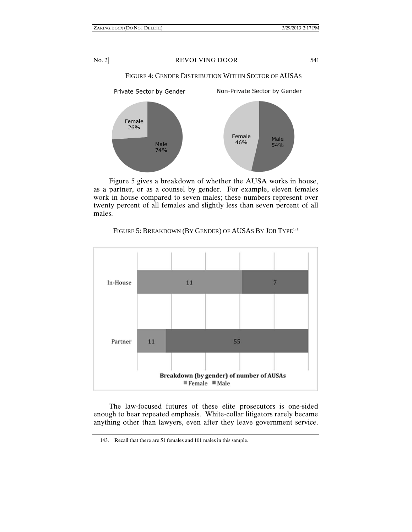FIGURE 4: GENDER DISTRIBUTION WITHIN SECTOR OF AUSAS



Figure 5 gives a breakdown of whether the AUSA works in house, as a partner, or as a counsel by gender. For example, eleven females work in house compared to seven males; these numbers represent over twenty percent of all females and slightly less than seven percent of all males.



# FIGURE 5: BREAKDOWN (BY GENDER) OF AUSAS BY JOB TYPE<sup>143</sup>

The law-focused futures of these elite prosecutors is one-sided enough to bear repeated emphasis. White-collar litigators rarely became anything other than lawyers, even after they leave government service.

 <sup>143.</sup> Recall that there are 51 females and 101 males in this sample.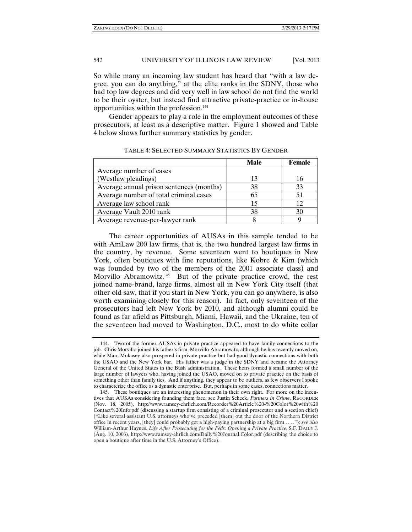So while many an incoming law student has heard that "with a law degree, you can do anything," at the elite ranks in the SDNY, those who had top law degrees and did very well in law school do not find the world to be their oyster, but instead find attractive private-practice or in-house opportunities within the profession.144

Gender appears to play a role in the employment outcomes of these prosecutors, at least as a descriptive matter. Figure 1 showed and Table 4 below shows further summary statistics by gender.

|                                          | Male | <b>Female</b> |
|------------------------------------------|------|---------------|
| Average number of cases                  |      |               |
| (Westlaw pleadings)                      | 13   | 16            |
| Average annual prison sentences (months) | 38   | 33            |
| Average number of total criminal cases   | 65   |               |
| Average law school rank                  |      |               |
| Average Vault 2010 rank                  | 38   | 30            |
| Average revenue-per-lawyer rank          |      |               |

TABLE 4: SELECTED SUMMARY STATISTICS BY GENDER

The career opportunities of AUSAs in this sample tended to be with AmLaw 200 law firms, that is, the two hundred largest law firms in the country, by revenue. Some seventeen went to boutiques in New York, often boutiques with fine reputations, like Kobre & Kim (which was founded by two of the members of the 2001 associate class) and Morvillo Abramowitz.<sup>145</sup> But of the private practice crowd, the rest joined name-brand, large firms, almost all in New York City itself (that other old saw, that if you start in New York, you can go anywhere, is also worth examining closely for this reason). In fact, only seventeen of the prosecutors had left New York by 2010, and although alumni could be found as far afield as Pittsburgh, Miami, Hawaii, and the Ukraine, ten of the seventeen had moved to Washington, D.C., most to do white collar

 <sup>144.</sup> Two of the former AUSAs in private practice appeared to have family connections to the job. Chris Morvillo joined his father's firm, Morvillo Abramowitz, although he has recently moved on, while Marc Mukasey also prospered in private practice but had good dynastic connections with both the USAO and the New York bar. His father was a judge in the SDNY and became the Attorney General of the United States in the Bush administration. These heirs formed a small number of the large number of lawyers who, having joined the USAO, moved on to private practice on the basis of something other than family ties. And if anything, they appear to be outliers, as few observers I spoke to characterize the office as a dynastic enterprise. But, perhaps in some cases, connections matter.

 <sup>145.</sup> These boutiques are an interesting phenomenon in their own right. For more on the incentives that AUSAs considering founding them face, see Justin Scheck, *Partners in Crime*, RECORDER (Nov. 18, 2005), http://www.ramsey-ehrlich.com/Recorder%20Article%20-%20Color%20with%20 Contact%20Info.pdf (discussing a startup firm consisting of a criminal prosecutor and a section chief) ("Like several assistant U.S. attorneys who've preceded [them] out the door of the Northern District office in recent years, [they] could probably get a high-paying partnership at a big firm . . . ."); *see also* William-Arthur Haynes, *Life After Prosecuting for the Feds: Opening a Private Practice*, S.F. DAILY J. (Aug. 10, 2006), http://www.ramsey-ehrlich.com/Daily%20Journal.Color.pdf (describing the choice to open a boutique after time in the U.S. Attorney's Office).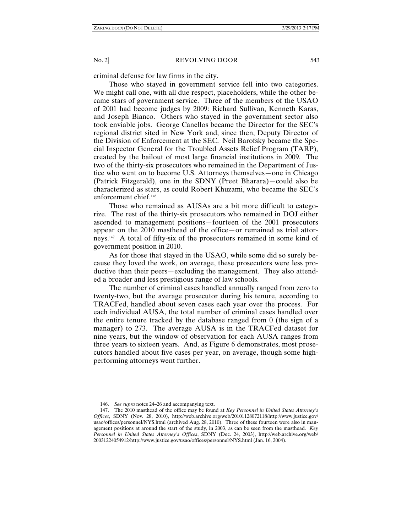criminal defense for law firms in the city.

Those who stayed in government service fell into two categories. We might call one, with all due respect, placeholders, while the other became stars of government service. Three of the members of the USAO of 2001 had become judges by 2009: Richard Sullivan, Kenneth Karas, and Joseph Bianco. Others who stayed in the government sector also took enviable jobs. George Canellos became the Director for the SEC's regional district sited in New York and, since then, Deputy Director of the Division of Enforcement at the SEC. Neil Barofsky became the Special Inspector General for the Troubled Assets Relief Program (TARP), created by the bailout of most large financial institutions in 2009. The two of the thirty-six prosecutors who remained in the Department of Justice who went on to become U.S. Attorneys themselves—one in Chicago (Patrick Fitzgerald), one in the SDNY (Preet Bharara)—could also be characterized as stars, as could Robert Khuzami, who became the SEC's enforcement chief.146

Those who remained as AUSAs are a bit more difficult to categorize. The rest of the thirty-six prosecutors who remained in DOJ either ascended to management positions—fourteen of the 2001 prosecutors appear on the 2010 masthead of the office—or remained as trial attorneys.147 A total of fifty-six of the prosecutors remained in some kind of government position in 2010.

As for those that stayed in the USAO, while some did so surely because they loved the work, on average, these prosecutors were less productive than their peers—excluding the management. They also attended a broader and less prestigious range of law schools.

The number of criminal cases handled annually ranged from zero to twenty-two, but the average prosecutor during his tenure, according to TRACFed, handled about seven cases each year over the process. For each individual AUSA, the total number of criminal cases handled over the entire tenure tracked by the database ranged from 0 (the sign of a manager) to 273. The average AUSA is in the TRACFed dataset for nine years, but the window of observation for each AUSA ranges from three years to sixteen years. And, as Figure 6 demonstrates, most prosecutors handled about five cases per year, on average, though some highperforming attorneys went further.

 <sup>146.</sup> *See supra* notes 24–26 and accompanying text.

 <sup>147.</sup> The 2010 masthead of the office may be found at *Key Personnel in United States Attorney's Offices*, SDNY (Nov. 28, 2010), http://web.archive.org/web/20101128072118/http://www.justice.gov/ usao/offices/personnel/NYS.html (archived Aug. 28, 2010). Three of these fourteen were also in management positions at around the start of the study, in 2003, as can be seen from the masthead. *Key Personnel in United States Attorney's Offices*, SDNY (Dec. 24, 2003), http://web.archive.org/web/ 20031224054912/http://www.justice.gov/usao/offices/personnel/NYS.html (Jan. 16, 2004).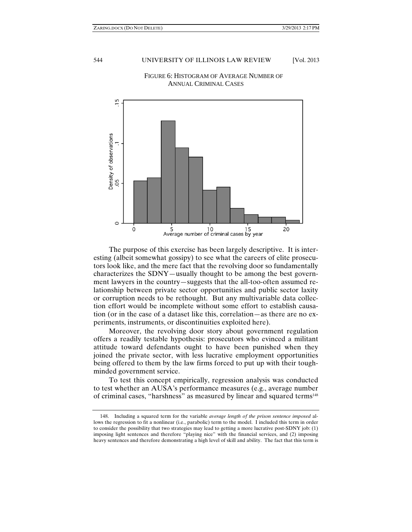

FIGURE 6: HISTOGRAM OF AVERAGE NUMBER OF ANNUAL CRIMINAL CASES

 The purpose of this exercise has been largely descriptive. It is interesting (albeit somewhat gossipy) to see what the careers of elite prosecutors look like, and the mere fact that the revolving door so fundamentally characterizes the SDNY—usually thought to be among the best government lawyers in the country—suggests that the all-too-often assumed relationship between private sector opportunities and public sector laxity or corruption needs to be rethought. But any multivariable data collection effort would be incomplete without some effort to establish causation (or in the case of a dataset like this, correlation—as there are no experiments, instruments, or discontinuities exploited here).

Moreover, the revolving door story about government regulation offers a readily testable hypothesis: prosecutors who evinced a militant attitude toward defendants ought to have been punished when they joined the private sector, with less lucrative employment opportunities being offered to them by the law firms forced to put up with their toughminded government service.

To test this concept empirically, regression analysis was conducted to test whether an AUSA's performance measures (e.g., average number of criminal cases, "harshness" as measured by linear and squared terms<sup>148</sup>

 <sup>148.</sup> Including a squared term for the variable *average length of the prison sentence imposed* allows the regression to fit a nonlinear (i.e., parabolic) term to the model. I included this term in order to consider the possibility that two strategies may lead to getting a more lucrative post-SDNY job: (1) imposing light sentences and therefore "playing nice" with the financial services, and (2) imposing heavy sentences and therefore demonstrating a high level of skill and ability. The fact that this term is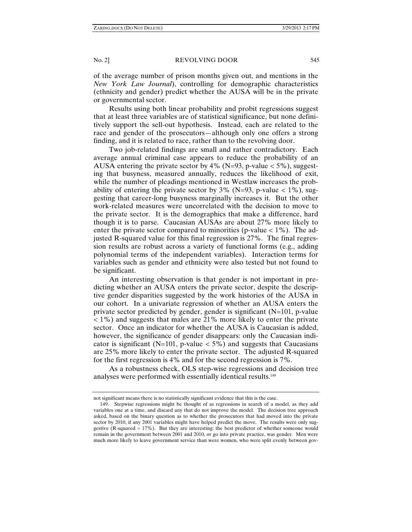of the average number of prison months given out, and mentions in the *New York Law Journal*), controlling for demographic characteristics (ethnicity and gender) predict whether the AUSA will be in the private or governmental sector.

Results using both linear probability and probit regressions suggest that at least three variables are of statistical significance, but none definitively support the sell-out hypothesis. Instead, each are related to the race and gender of the prosecutors—although only one offers a strong finding, and it is related to race, rather than to the revolving door.

Two job-related findings are small and rather contradictory. Each average annual criminal case appears to reduce the probability of an AUSA entering the private sector by  $4\%$  (N=93, p-value < 5%), suggesting that busyness, measured annually, reduces the likelihood of exit, while the number of pleadings mentioned in Westlaw increases the probability of entering the private sector by 3% (N=93, p-value  $<$  1%), suggesting that career-long busyness marginally increases it. But the other work-related measures were uncorrelated with the decision to move to the private sector. It is the demographics that make a difference, hard though it is to parse. Caucasian AUSAs are about 27% more likely to enter the private sector compared to minorities (p-value  $< 1\%$ ). The adjusted R-squared value for this final regression is 27%. The final regression results are robust across a variety of functional forms (e.g., adding polynomial terms of the independent variables). Interaction terms for variables such as gender and ethnicity were also tested but not found to be significant.

An interesting observation is that gender is not important in predicting whether an AUSA enters the private sector, despite the descriptive gender disparities suggested by the work histories of the AUSA in our cohort. In a univariate regression of whether an AUSA enters the private sector predicted by gender, gender is significant (N=101, p-value  $<$  1%) and suggests that males are 21% more likely to enter the private sector. Once an indicator for whether the AUSA is Caucasian is added, however, the significance of gender disappears: only the Caucasian indicator is significant (N=101, p-value  $<$  5%) and suggests that Caucasians are 25% more likely to enter the private sector. The adjusted R-squared for the first regression is 4% and for the second regression is 7%.

As a robustness check, OLS step-wise regressions and decision tree analyses were performed with essentially identical results.<sup>149</sup>

not significant means there is no statistically significant evidence that this is the case.

 <sup>149.</sup> Stepwise regressions might be thought of as regressions in search of a model, as they add variables one at a time, and discard any that do not improve the model. The decision tree approach asked, based on the binary question as to whether the prosecutors that had moved into the private sector by 2010, if any 2001 variables might have helped predict the move. The results were only suggestive (R-squared = 17%). But they are interesting: the best predictor of whether someone would remain in the government between 2001 and 2010, or go into private practice, was gender. Men were much more likely to leave government service than were women, who were split evenly between gov-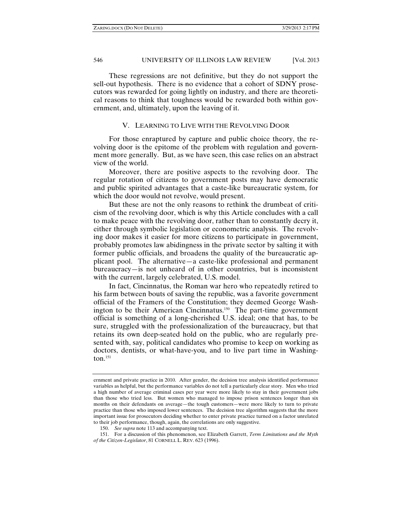These regressions are not definitive, but they do not support the sell-out hypothesis. There is no evidence that a cohort of SDNY prosecutors was rewarded for going lightly on industry, and there are theoretical reasons to think that toughness would be rewarded both within government, and, ultimately, upon the leaving of it.

### V. LEARNING TO LIVE WITH THE REVOLVING DOOR

For those enraptured by capture and public choice theory, the revolving door is the epitome of the problem with regulation and government more generally. But, as we have seen, this case relies on an abstract view of the world.

Moreover, there are positive aspects to the revolving door. The regular rotation of citizens to government posts may have democratic and public spirited advantages that a caste-like bureaucratic system, for which the door would not revolve, would present.

But these are not the only reasons to rethink the drumbeat of criticism of the revolving door, which is why this Article concludes with a call to make peace with the revolving door, rather than to constantly decry it, either through symbolic legislation or econometric analysis. The revolving door makes it easier for more citizens to participate in government, probably promotes law abidingness in the private sector by salting it with former public officials, and broadens the quality of the bureaucratic applicant pool. The alternative—a caste-like professional and permanent bureaucracy—is not unheard of in other countries, but is inconsistent with the current, largely celebrated, U.S. model.

In fact, Cincinnatus, the Roman war hero who repeatedly retired to his farm between bouts of saving the republic, was a favorite government official of the Framers of the Constitution; they deemed George Washington to be their American Cincinnatus.150 The part-time government official is something of a long-cherished U.S. ideal; one that has, to be sure, struggled with the professionalization of the bureaucracy, but that retains its own deep-seated hold on the public, who are regularly presented with, say, political candidates who promise to keep on working as doctors, dentists, or what-have-you, and to live part time in Washington. $151$ 

ernment and private practice in 2010. After gender, the decision tree analysis identified performance variables as helpful, but the performance variables do not tell a particularly clear story. Men who tried a high number of average criminal cases per year were more likely to stay in their government jobs than those who tried less. But women who managed to impose prison sentences longer than six months on their defendants on average—the tough customers—were more likely to turn to private practice than those who imposed lower sentences. The decision tree algorithm suggests that the more important issue for prosecutors deciding whether to enter private practice turned on a factor unrelated to their job performance, though, again, the correlations are only suggestive.

 <sup>150.</sup> *See supra* note 113 and accompanying text.

 <sup>151.</sup> For a discussion of this phenomenon, see Elizabeth Garrett, *Term Limitations and the Myth of the Citizen-Legislator*, 81 CORNELL L. REV. 623 (1996).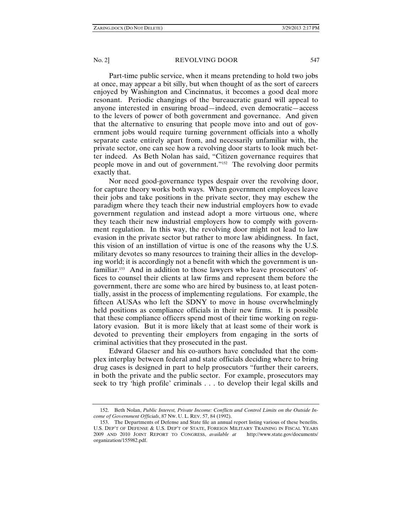Part-time public service, when it means pretending to hold two jobs at once, may appear a bit silly, but when thought of as the sort of careers enjoyed by Washington and Cincinnatus, it becomes a good deal more resonant. Periodic changings of the bureaucratic guard will appeal to anyone interested in ensuring broad—indeed, even democratic—access to the levers of power of both government and governance. And given that the alternative to ensuring that people move into and out of government jobs would require turning government officials into a wholly separate caste entirely apart from, and necessarily unfamiliar with, the private sector, one can see how a revolving door starts to look much better indeed. As Beth Nolan has said, "Citizen governance requires that people move in and out of government."152 The revolving door permits exactly that.

Nor need good-governance types despair over the revolving door, for capture theory works both ways. When government employees leave their jobs and take positions in the private sector, they may eschew the paradigm where they teach their new industrial employers how to evade government regulation and instead adopt a more virtuous one, where they teach their new industrial employers how to comply with government regulation. In this way, the revolving door might not lead to law evasion in the private sector but rather to more law abidingness. In fact, this vision of an instillation of virtue is one of the reasons why the U.S. military devotes so many resources to training their allies in the developing world; it is accordingly not a benefit with which the government is unfamiliar.153 And in addition to those lawyers who leave prosecutors' offices to counsel their clients at law firms and represent them before the government, there are some who are hired by business to, at least potentially, assist in the process of implementing regulations. For example, the fifteen AUSAs who left the SDNY to move in house overwhelmingly held positions as compliance officials in their new firms. It is possible that these compliance officers spend most of their time working on regulatory evasion. But it is more likely that at least some of their work is devoted to preventing their employers from engaging in the sorts of criminal activities that they prosecuted in the past.

Edward Glaeser and his co-authors have concluded that the complex interplay between federal and state officials deciding where to bring drug cases is designed in part to help prosecutors "further their careers, in both the private and the public sector. For example, prosecutors may seek to try 'high profile' criminals . . . to develop their legal skills and

 <sup>152.</sup> Beth Nolan, *Public Interest, Private Income: Conflicts and Control Limits on the Outside Income of Government Officials*, 87 NW. U. L. REV. 57, 84 (1992).

 <sup>153.</sup> The Departments of Defense and State file an annual report listing various of these benefits. U.S. DEP'T OF DEFENSE & U.S. DEP'T OF STATE, FOREIGN MILITARY TRAINING IN FISCAL YEARS 2009 AND 2010 JOINT REPORT TO CONGRESS, *available at* http://www.state.gov/documents/ organization/155982.pdf.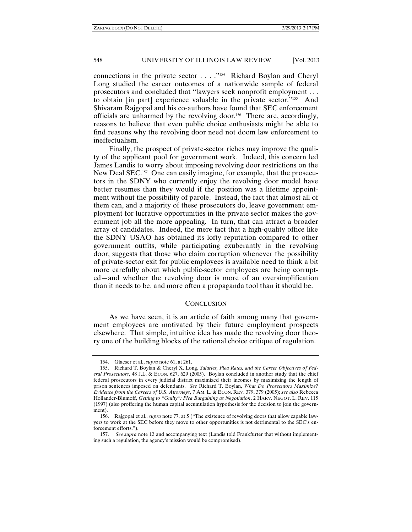connections in the private sector . . . ."154 Richard Boylan and Cheryl Long studied the career outcomes of a nationwide sample of federal prosecutors and concluded that "lawyers seek nonprofit employment . . . to obtain [in part] experience valuable in the private sector."155 And Shivaram Rajgopal and his co-authors have found that SEC enforcement officials are unharmed by the revolving door.156 There are, accordingly, reasons to believe that even public choice enthusiasts might be able to find reasons why the revolving door need not doom law enforcement to ineffectualism.

Finally, the prospect of private-sector riches may improve the quality of the applicant pool for government work. Indeed, this concern led James Landis to worry about imposing revolving door restrictions on the New Deal SEC.<sup>157</sup> One can easily imagine, for example, that the prosecutors in the SDNY who currently enjoy the revolving door model have better resumes than they would if the position was a lifetime appointment without the possibility of parole. Instead, the fact that almost all of them can, and a majority of these prosecutors do, leave government employment for lucrative opportunities in the private sector makes the government job all the more appealing. In turn, that can attract a broader array of candidates. Indeed, the mere fact that a high-quality office like the SDNY USAO has obtained its lofty reputation compared to other government outfits, while participating exuberantly in the revolving door, suggests that those who claim corruption whenever the possibility of private-sector exit for public employees is available need to think a bit more carefully about which public-sector employees are being corrupted—and whether the revolving door is more of an oversimplification than it needs to be, and more often a propaganda tool than it should be.

# **CONCLUSION**

As we have seen, it is an article of faith among many that government employees are motivated by their future employment prospects elsewhere. That simple, intuitive idea has made the revolving door theory one of the building blocks of the rational choice critique of regulation.

 <sup>154.</sup> Glaeser et al., *supra* note 61, at 261.

 <sup>155.</sup> Richard T. Boylan & Cheryl X. Long, *Salaries, Plea Rates, and the Career Objectives of Federal Prosecutors*, 48 J.L. & ECON. 627, 629 (2005). Boylan concluded in another study that the chief federal prosecutors in every judicial district maximized their incomes by maximizing the length of prison sentences imposed on defendants. *See* Richard T. Boylan, *What Do Prosecutors Maximize? Evidence from the Careers of U*.*S*. *Attorneys*, 7 AM. L. & ECON. REV. 379, 379 (2005); *see also* Rebecca Hollander-Blumoff, *Getting to "Guilty": Plea Bargaining as Negotiation*, 2 HARV. NEGOT. L. REV. 115 (1997) (also proffering the human capital accumulation hypothesis for the decision to join the government).

 <sup>156.</sup> Rajgopal et al., *supra* note 77, at 5 ("The existence of revolving doors that allow capable lawyers to work at the SEC before they move to other opportunities is not detrimental to the SEC's enforcement efforts.").

 <sup>157.</sup> *See supra* note 12 and accompanying text (Landis told Frankfurter that without implementing such a regulation, the agency's mission would be compromised).